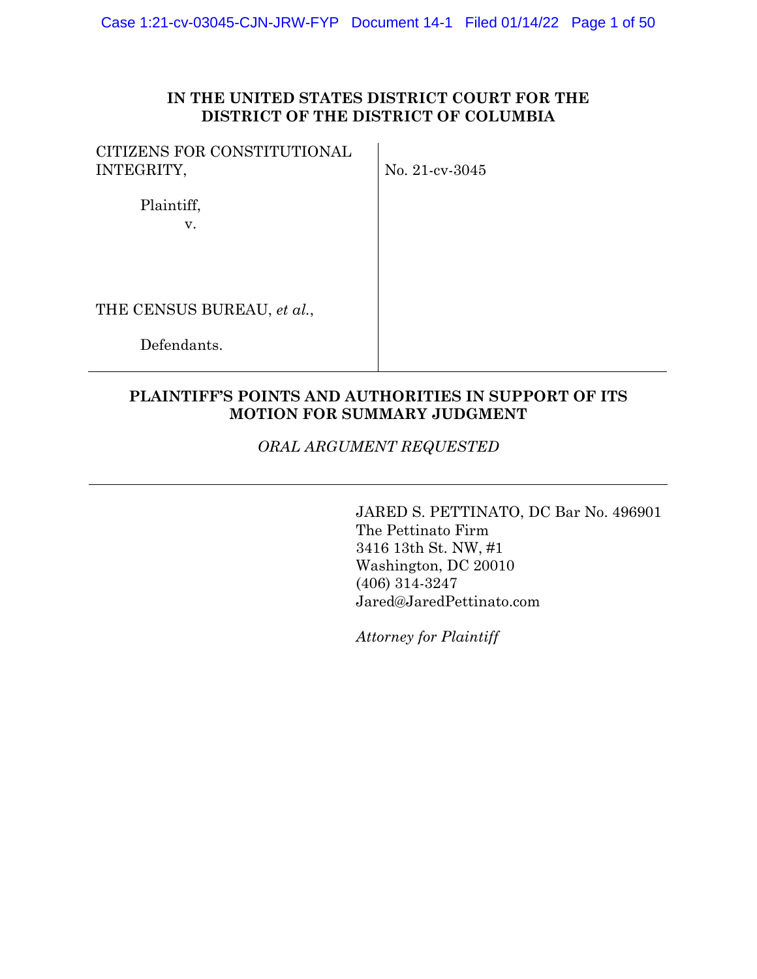### **IN THE UNITED STATES DISTRICT COURT FOR THE DISTRICT OF THE DISTRICT OF COLUMBIA**

| CITIZENS FOR CONSTITUTIONAL |  |
|-----------------------------|--|
| INTEGRITY,                  |  |

No. 21-cv-3045

 Plaintiff, v.

THE CENSUS BUREAU, *et al.*,

Defendants.

# **PLAINTIFF'S POINTS AND AUTHORITIES IN SUPPORT OF ITS MOTION FOR SUMMARY JUDGMENT**

*ORAL ARGUMENT REQUESTED* 

JARED S. PETTINATO, DC Bar No. 496901 The Pettinato Firm 3416 13th St. NW, #1 Washington, DC 20010 (406) 314-3247 Jared@JaredPettinato.com

*Attorney for Plaintiff*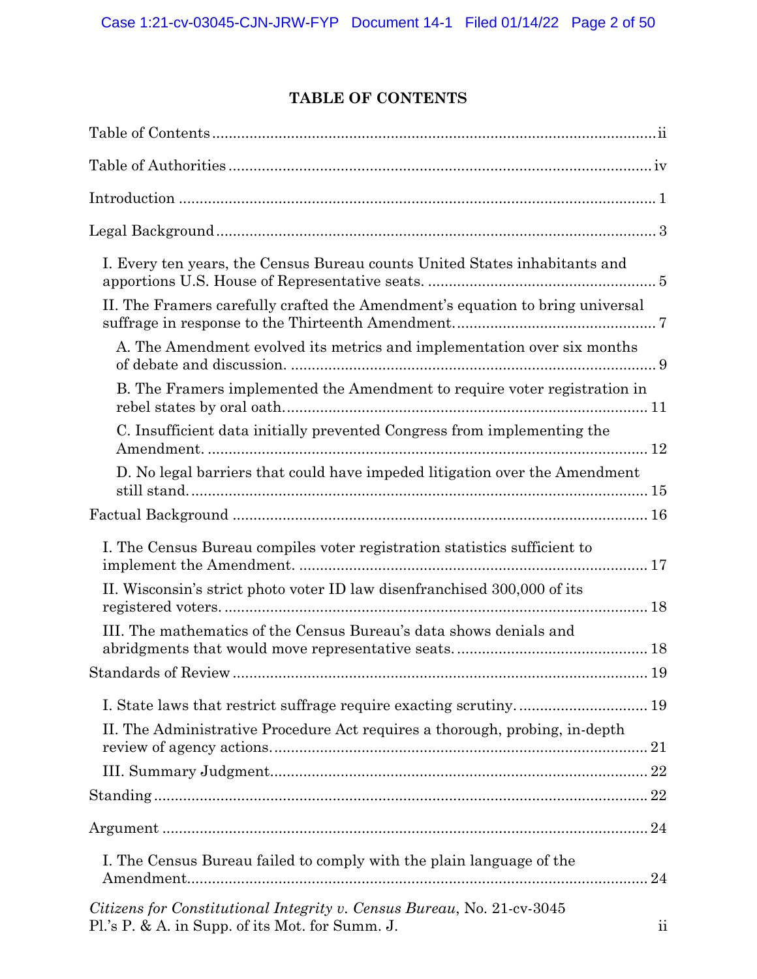# **TABLE OF CONTENTS**

| I. Every ten years, the Census Bureau counts United States inhabitants and                                                |                 |
|---------------------------------------------------------------------------------------------------------------------------|-----------------|
| II. The Framers carefully crafted the Amendment's equation to bring universal                                             |                 |
| A. The Amendment evolved its metrics and implementation over six months                                                   |                 |
| B. The Framers implemented the Amendment to require voter registration in                                                 |                 |
| C. Insufficient data initially prevented Congress from implementing the                                                   |                 |
| D. No legal barriers that could have impeded litigation over the Amendment                                                |                 |
|                                                                                                                           |                 |
| I. The Census Bureau compiles voter registration statistics sufficient to                                                 |                 |
| II. Wisconsin's strict photo voter ID law disenfranchised 300,000 of its                                                  |                 |
| III. The mathematics of the Census Bureau's data shows denials and                                                        |                 |
|                                                                                                                           |                 |
|                                                                                                                           |                 |
| II. The Administrative Procedure Act requires a thorough, probing, in-depth                                               |                 |
|                                                                                                                           |                 |
|                                                                                                                           |                 |
|                                                                                                                           |                 |
| I. The Census Bureau failed to comply with the plain language of the                                                      |                 |
| Citizens for Constitutional Integrity v. Census Bureau, No. 21-cv-3045<br>Pl.'s P. & A. in Supp. of its Mot. for Summ. J. | $\overline{11}$ |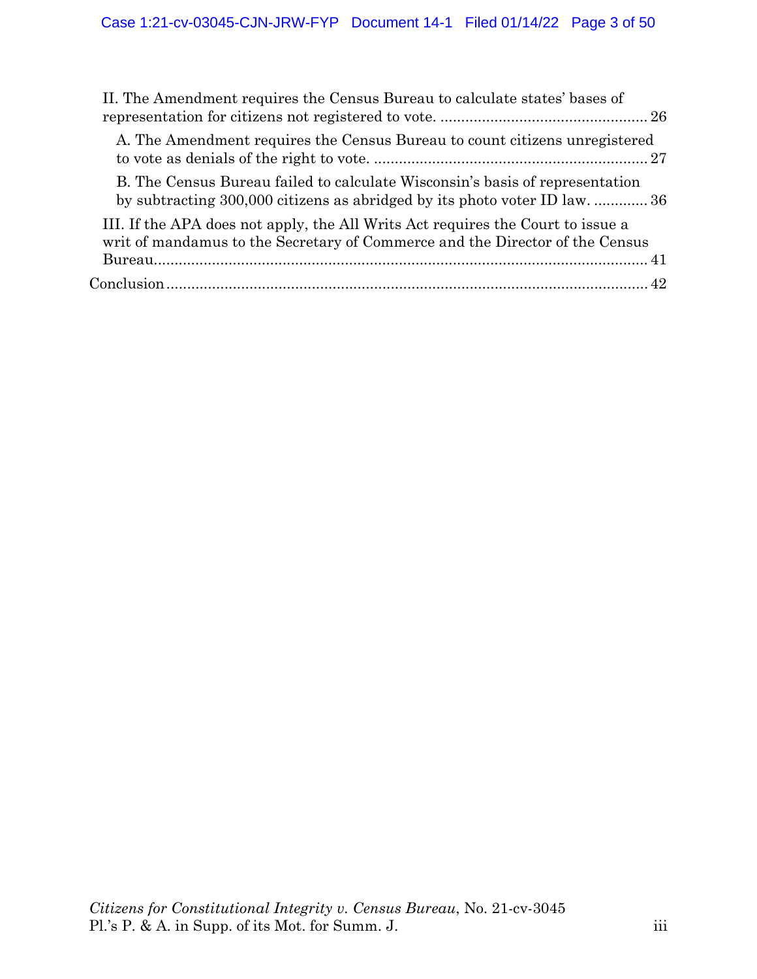| II. The Amendment requires the Census Bureau to calculate states' bases of                                                                                      |  |
|-----------------------------------------------------------------------------------------------------------------------------------------------------------------|--|
| A. The Amendment requires the Census Bureau to count citizens unregistered                                                                                      |  |
| B. The Census Bureau failed to calculate Wisconsin's basis of representation<br>by subtracting 300,000 citizens as abridged by its photo voter ID law.  36      |  |
| III. If the APA does not apply, the All Writs Act requires the Court to issue a<br>writ of mandamus to the Secretary of Commerce and the Director of the Census |  |
|                                                                                                                                                                 |  |
|                                                                                                                                                                 |  |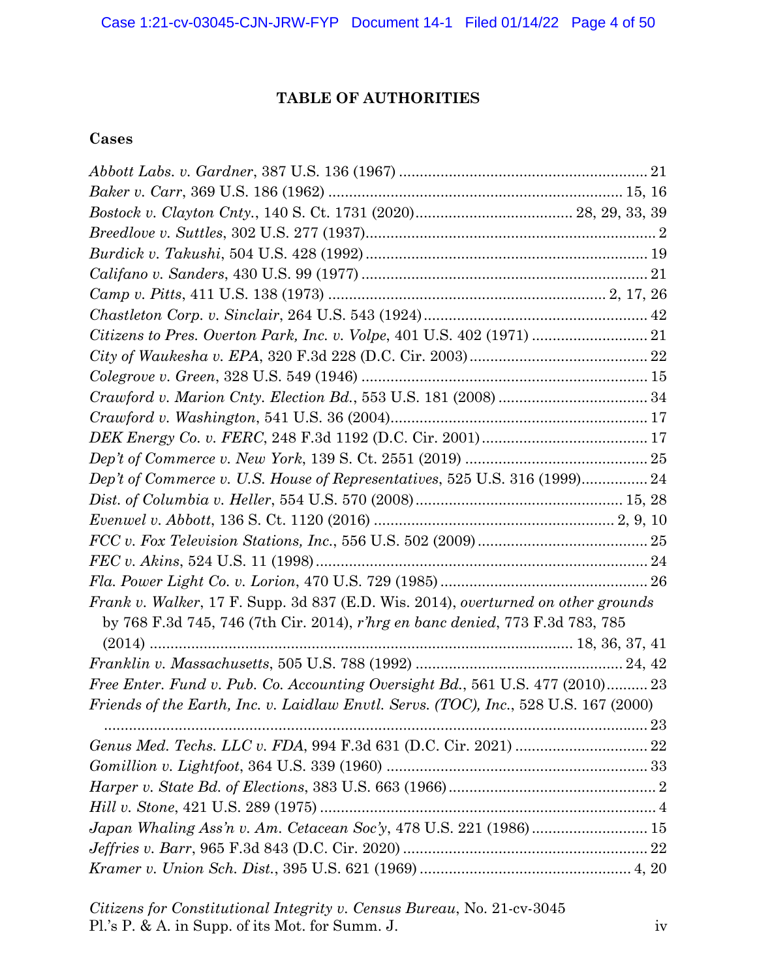# **TABLE OF AUTHORITIES**

# **Cases**

| Dep't of Commerce v. U.S. House of Representatives, 525 U.S. 316 (1999) 24           |  |
|--------------------------------------------------------------------------------------|--|
|                                                                                      |  |
|                                                                                      |  |
|                                                                                      |  |
|                                                                                      |  |
|                                                                                      |  |
| Frank v. Walker, 17 F. Supp. 3d 837 (E.D. Wis. 2014), overturned on other grounds    |  |
| by 768 F.3d 745, 746 (7th Cir. 2014), r'hrg en banc denied, 773 F.3d 783, 785        |  |
|                                                                                      |  |
|                                                                                      |  |
| Free Enter. Fund v. Pub. Co. Accounting Oversight Bd., 561 U.S. 477 (2010) 23        |  |
| Friends of the Earth, Inc. v. Laidlaw Envtl. Servs. (TOC), Inc., 528 U.S. 167 (2000) |  |
|                                                                                      |  |
|                                                                                      |  |
|                                                                                      |  |
|                                                                                      |  |
|                                                                                      |  |
|                                                                                      |  |
|                                                                                      |  |
|                                                                                      |  |
|                                                                                      |  |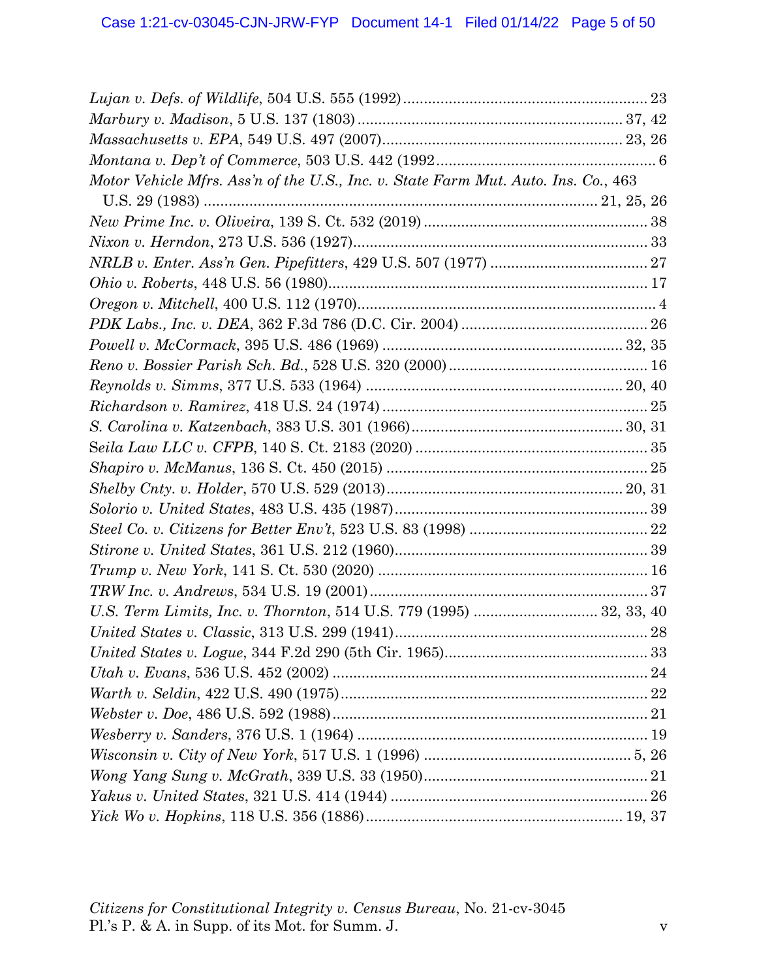| Motor Vehicle Mfrs. Ass'n of the U.S., Inc. v. State Farm Mut. Auto. Ins. Co., 463 |  |
|------------------------------------------------------------------------------------|--|
|                                                                                    |  |
|                                                                                    |  |
|                                                                                    |  |
|                                                                                    |  |
|                                                                                    |  |
|                                                                                    |  |
|                                                                                    |  |
|                                                                                    |  |
|                                                                                    |  |
|                                                                                    |  |
|                                                                                    |  |
|                                                                                    |  |
|                                                                                    |  |
|                                                                                    |  |
|                                                                                    |  |
|                                                                                    |  |
|                                                                                    |  |
|                                                                                    |  |
|                                                                                    |  |
|                                                                                    |  |
|                                                                                    |  |
|                                                                                    |  |
|                                                                                    |  |
|                                                                                    |  |
|                                                                                    |  |
|                                                                                    |  |
|                                                                                    |  |
|                                                                                    |  |
|                                                                                    |  |
|                                                                                    |  |
|                                                                                    |  |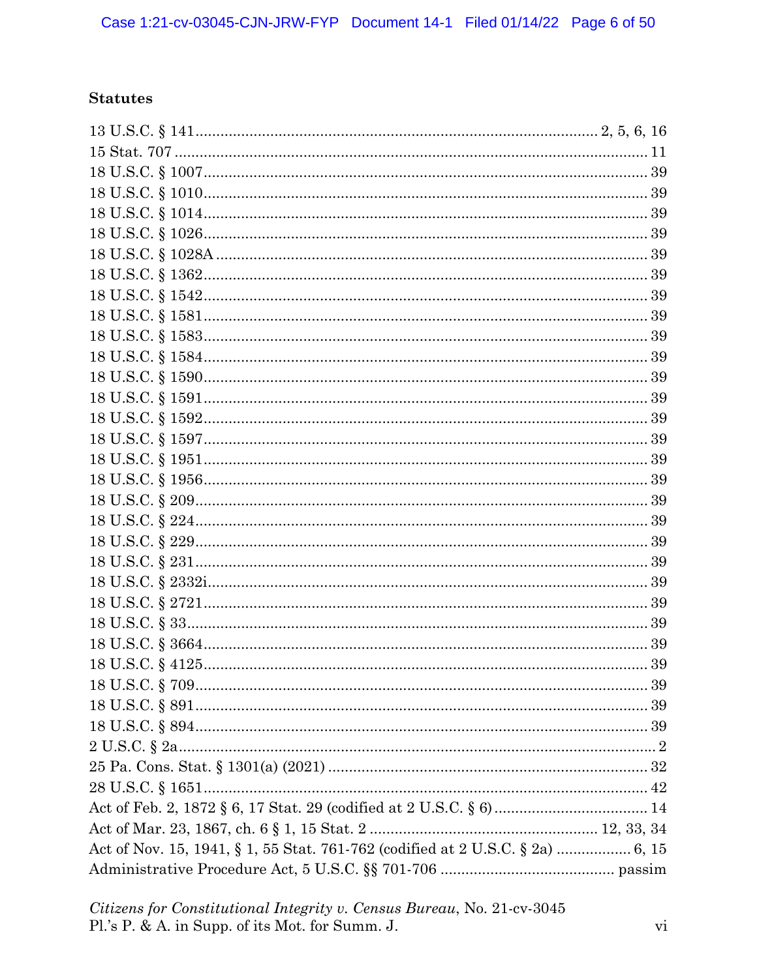# **Statutes**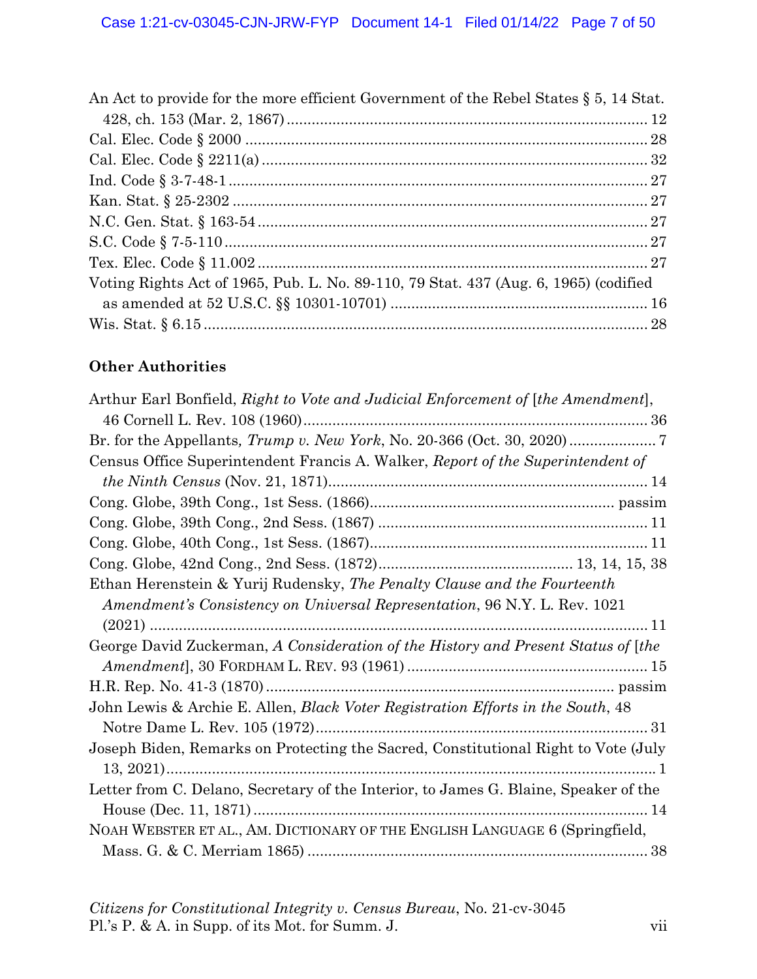| An Act to provide for the more efficient Government of the Rebel States $\S 5$ , 14 Stat. |  |
|-------------------------------------------------------------------------------------------|--|
|                                                                                           |  |
|                                                                                           |  |
|                                                                                           |  |
|                                                                                           |  |
|                                                                                           |  |
|                                                                                           |  |
|                                                                                           |  |
|                                                                                           |  |
| Voting Rights Act of 1965, Pub. L. No. 89-110, 79 Stat. 437 (Aug. 6, 1965) (codified      |  |
|                                                                                           |  |
|                                                                                           |  |

# **Other Authorities**

| Arthur Earl Bonfield, Right to Vote and Judicial Enforcement of [the Amendment],     |  |
|--------------------------------------------------------------------------------------|--|
|                                                                                      |  |
|                                                                                      |  |
| Census Office Superintendent Francis A. Walker, Report of the Superintendent of      |  |
|                                                                                      |  |
|                                                                                      |  |
|                                                                                      |  |
|                                                                                      |  |
|                                                                                      |  |
| Ethan Herenstein & Yurij Rudensky, The Penalty Clause and the Fourteenth             |  |
| <i>Amendment's Consistency on Universal Representation, 96 N.Y. L. Rev. 1021</i>     |  |
|                                                                                      |  |
| George David Zuckerman, A Consideration of the History and Present Status of [the    |  |
|                                                                                      |  |
|                                                                                      |  |
| John Lewis & Archie E. Allen, Black Voter Registration Efforts in the South, 48      |  |
|                                                                                      |  |
| Joseph Biden, Remarks on Protecting the Sacred, Constitutional Right to Vote (July   |  |
|                                                                                      |  |
| Letter from C. Delano, Secretary of the Interior, to James G. Blaine, Speaker of the |  |
|                                                                                      |  |
| NOAH WEBSTER ET AL., AM. DICTIONARY OF THE ENGLISH LANGUAGE 6 (Springfield,          |  |
|                                                                                      |  |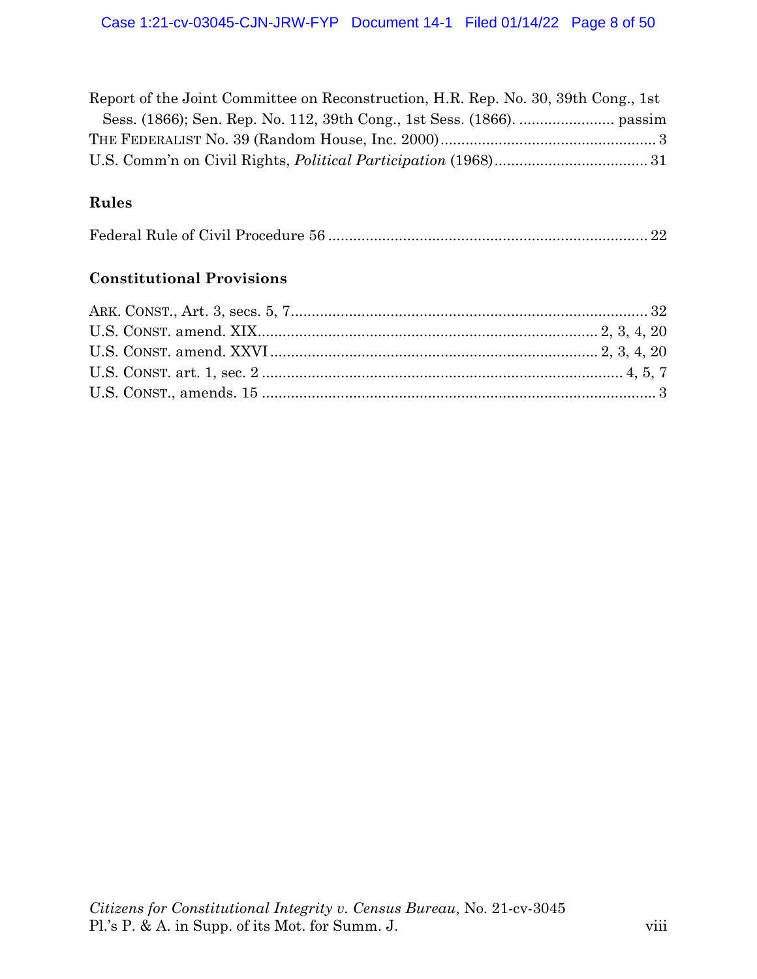| Report of the Joint Committee on Reconstruction, H.R. Rep. No. 30, 39th Cong., 1st |  |
|------------------------------------------------------------------------------------|--|
|                                                                                    |  |
|                                                                                    |  |
|                                                                                    |  |

# **Rules**

|--|--|--|

# **Constitutional Provisions**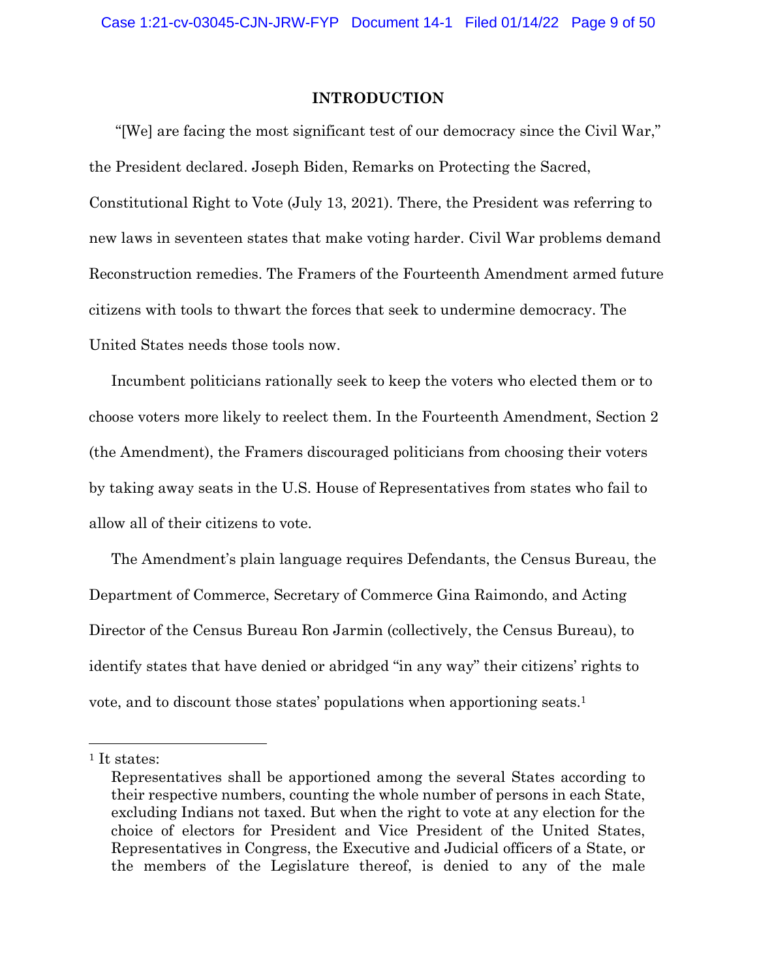#### **INTRODUCTION**

 "[We] are facing the most significant test of our democracy since the Civil War," the President declared. Joseph Biden, Remarks on Protecting the Sacred, Constitutional Right to Vote (July 13, 2021). There, the President was referring to new laws in seventeen states that make voting harder. Civil War problems demand Reconstruction remedies. The Framers of the Fourteenth Amendment armed future citizens with tools to thwart the forces that seek to undermine democracy. The United States needs those tools now.

Incumbent politicians rationally seek to keep the voters who elected them or to choose voters more likely to reelect them. In the Fourteenth Amendment, Section 2 (the Amendment), the Framers discouraged politicians from choosing their voters by taking away seats in the U.S. House of Representatives from states who fail to allow all of their citizens to vote.

The Amendment's plain language requires Defendants, the Census Bureau, the Department of Commerce, Secretary of Commerce Gina Raimondo, and Acting Director of the Census Bureau Ron Jarmin (collectively, the Census Bureau), to identify states that have denied or abridged "in any way" their citizens' rights to vote, and to discount those states' populations when apportioning seats.1

<sup>&</sup>lt;sup>1</sup> It states:

Representatives shall be apportioned among the several States according to their respective numbers, counting the whole number of persons in each State, excluding Indians not taxed. But when the right to vote at any election for the choice of electors for President and Vice President of the United States, Representatives in Congress, the Executive and Judicial officers of a State, or the members of the Legislature thereof, is denied to any of the male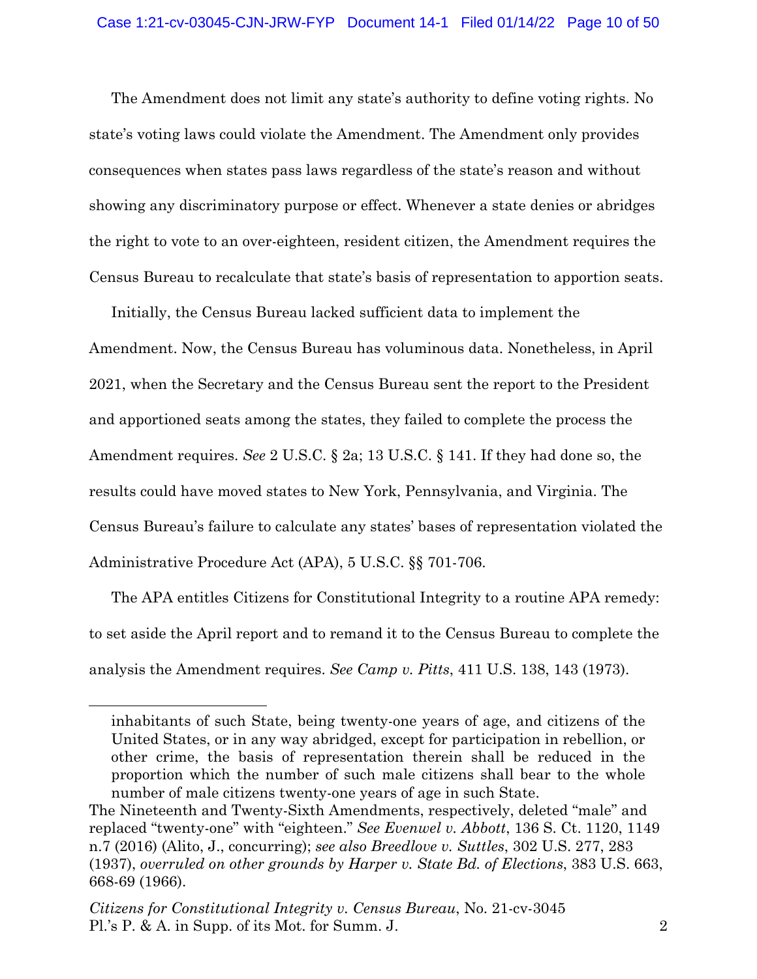The Amendment does not limit any state's authority to define voting rights. No state's voting laws could violate the Amendment. The Amendment only provides consequences when states pass laws regardless of the state's reason and without showing any discriminatory purpose or effect. Whenever a state denies or abridges the right to vote to an over-eighteen, resident citizen, the Amendment requires the Census Bureau to recalculate that state's basis of representation to apportion seats.

Initially, the Census Bureau lacked sufficient data to implement the Amendment. Now, the Census Bureau has voluminous data. Nonetheless, in April 2021, when the Secretary and the Census Bureau sent the report to the President and apportioned seats among the states, they failed to complete the process the Amendment requires. *See* 2 U.S.C. § 2a; 13 U.S.C. § 141. If they had done so, the results could have moved states to New York, Pennsylvania, and Virginia. The Census Bureau's failure to calculate any states' bases of representation violated the Administrative Procedure Act (APA), 5 U.S.C. §§ 701-706.

The APA entitles Citizens for Constitutional Integrity to a routine APA remedy: to set aside the April report and to remand it to the Census Bureau to complete the analysis the Amendment requires. *See Camp v. Pitts*, 411 U.S. 138, 143 (1973).

inhabitants of such State, being twenty-one years of age, and citizens of the United States, or in any way abridged, except for participation in rebellion, or other crime, the basis of representation therein shall be reduced in the proportion which the number of such male citizens shall bear to the whole number of male citizens twenty-one years of age in such State.

The Nineteenth and Twenty-Sixth Amendments, respectively, deleted "male" and replaced "twenty-one" with "eighteen." *See Evenwel v. Abbott*, 136 S. Ct. 1120, 1149 n.7 (2016) (Alito, J., concurring); *see also Breedlove v. Suttles*, 302 U.S. 277, 283 (1937), *overruled on other grounds by Harper v. State Bd. of Elections*, 383 U.S. 663, 668-69 (1966).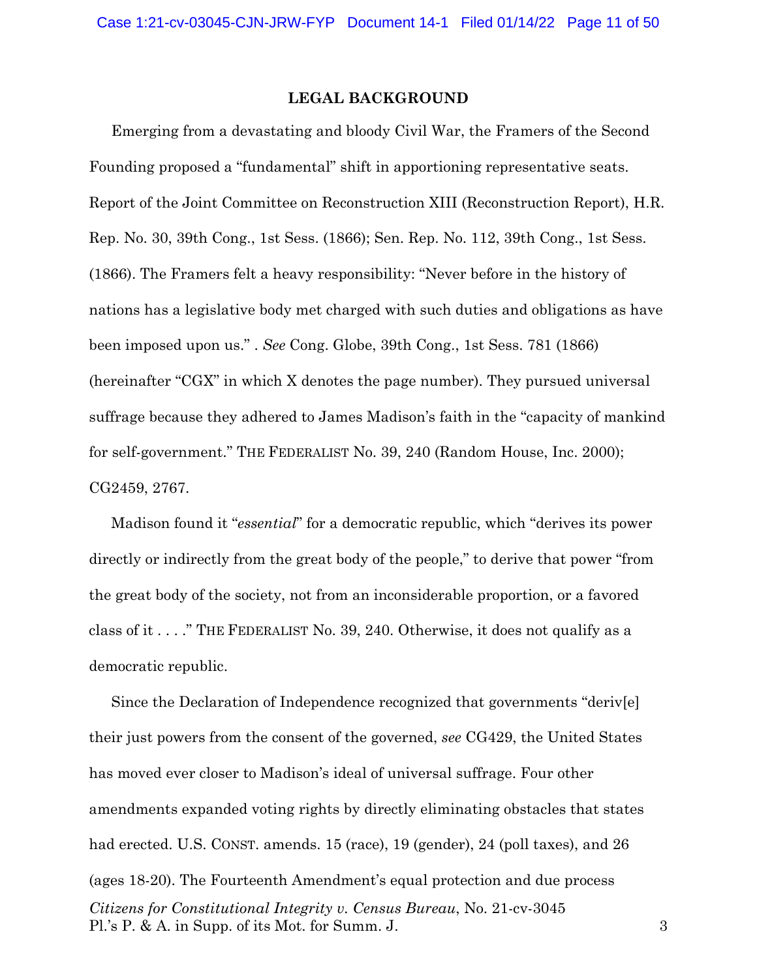### **LEGAL BACKGROUND**

Emerging from a devastating and bloody Civil War, the Framers of the Second Founding proposed a "fundamental" shift in apportioning representative seats. Report of the Joint Committee on Reconstruction XIII (Reconstruction Report), H.R. Rep. No. 30, 39th Cong., 1st Sess. (1866); Sen. Rep. No. 112, 39th Cong., 1st Sess. (1866). The Framers felt a heavy responsibility: "Never before in the history of nations has a legislative body met charged with such duties and obligations as have been imposed upon us." . *See* Cong. Globe, 39th Cong., 1st Sess. 781 (1866) (hereinafter "CGX" in which X denotes the page number). They pursued universal suffrage because they adhered to James Madison's faith in the "capacity of mankind for self-government." THE FEDERALIST No. 39, 240 (Random House, Inc. 2000); CG2459, 2767.

Madison found it "*essential*" for a democratic republic, which "derives its power directly or indirectly from the great body of the people," to derive that power "from the great body of the society, not from an inconsiderable proportion, or a favored class of it . . . ." THE FEDERALIST No. 39, 240. Otherwise, it does not qualify as a democratic republic.

*Citizens for Constitutional Integrity v. Census Bureau*, No. 21-cv-3045 Pl.'s P. & A. in Supp. of its Mot. for Summ. J. 3 Since the Declaration of Independence recognized that governments "deriv[e] their just powers from the consent of the governed, *see* CG429, the United States has moved ever closer to Madison's ideal of universal suffrage. Four other amendments expanded voting rights by directly eliminating obstacles that states had erected. U.S. CONST. amends. 15 (race), 19 (gender), 24 (poll taxes), and 26 (ages 18-20). The Fourteenth Amendment's equal protection and due process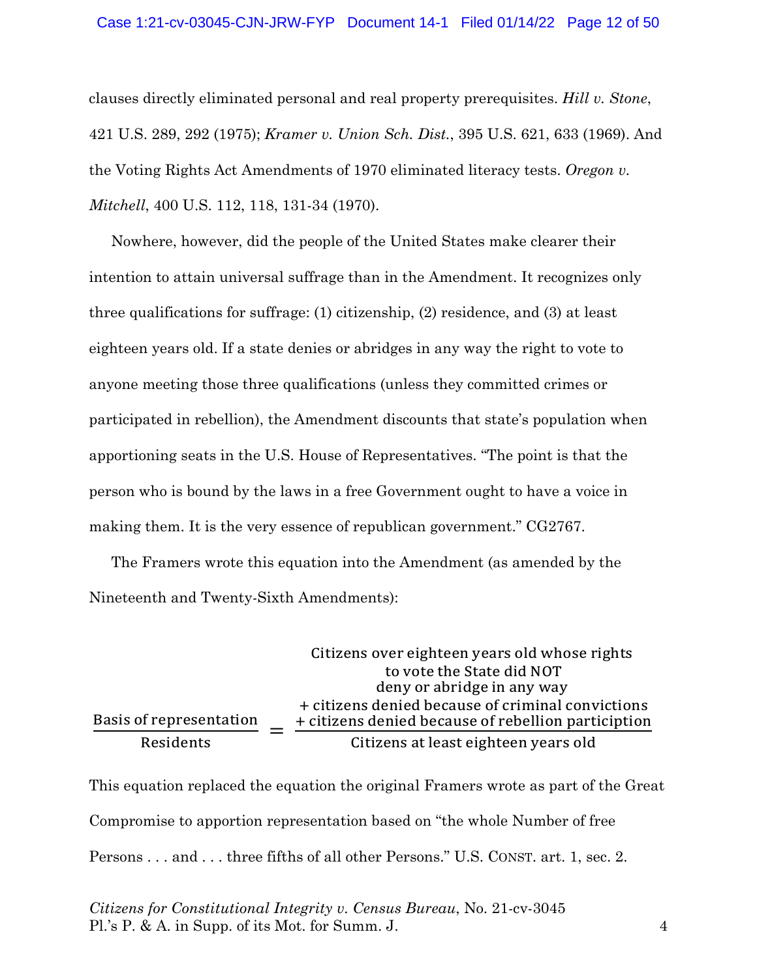clauses directly eliminated personal and real property prerequisites. *Hill v. Stone*, 421 U.S. 289, 292 (1975); *Kramer v. Union Sch. Dist.*, 395 U.S. 621, 633 (1969). And the Voting Rights Act Amendments of 1970 eliminated literacy tests. *Oregon v. Mitchell*, 400 U.S. 112, 118, 131-34 (1970).

Nowhere, however, did the people of the United States make clearer their intention to attain universal suffrage than in the Amendment. It recognizes only three qualifications for suffrage: (1) citizenship, (2) residence, and (3) at least eighteen years old. If a state denies or abridges in any way the right to vote to anyone meeting those three qualifications (unless they committed crimes or participated in rebellion), the Amendment discounts that state's population when apportioning seats in the U.S. House of Representatives. "The point is that the person who is bound by the laws in a free Government ought to have a voice in making them. It is the very essence of republican government." CG2767.

The Framers wrote this equation into the Amendment (as amended by the Nineteenth and Twenty-Sixth Amendments):

|                         | Citizens over eighteen years old whose rights                                                            |
|-------------------------|----------------------------------------------------------------------------------------------------------|
|                         | to vote the State did NOT                                                                                |
|                         | deny or abridge in any way                                                                               |
| Basis of representation | + citizens denied because of criminal convictions<br>+ citizens denied because of rebellion particiption |
| Residents               | Citizens at least eighteen years old                                                                     |

This equation replaced the equation the original Framers wrote as part of the Great Compromise to apportion representation based on "the whole Number of free Persons . . . and . . . three fifths of all other Persons." U.S. CONST. art. 1, sec. 2.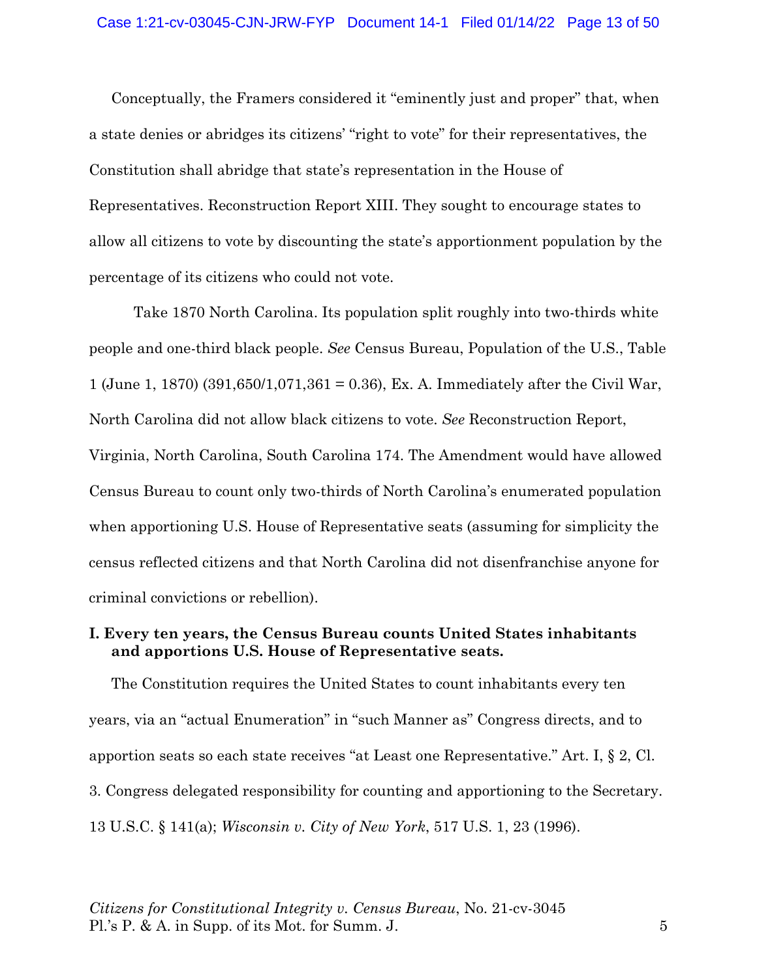Conceptually, the Framers considered it "eminently just and proper" that, when a state denies or abridges its citizens' "right to vote" for their representatives, the Constitution shall abridge that state's representation in the House of Representatives. Reconstruction Report XIII. They sought to encourage states to allow all citizens to vote by discounting the state's apportionment population by the percentage of its citizens who could not vote.

Take 1870 North Carolina. Its population split roughly into two-thirds white people and one-third black people. *See* Census Bureau, Population of the U.S., Table 1 (June 1, 1870) (391,650/1,071,361 = 0.36), Ex. A. Immediately after the Civil War, North Carolina did not allow black citizens to vote. *See* Reconstruction Report, Virginia, North Carolina, South Carolina 174. The Amendment would have allowed Census Bureau to count only two-thirds of North Carolina's enumerated population when apportioning U.S. House of Representative seats (assuming for simplicity the census reflected citizens and that North Carolina did not disenfranchise anyone for criminal convictions or rebellion).

### **I. Every ten years, the Census Bureau counts United States inhabitants and apportions U.S. House of Representative seats.**

The Constitution requires the United States to count inhabitants every ten years, via an "actual Enumeration" in "such Manner as" Congress directs, and to apportion seats so each state receives "at Least one Representative." Art. I, § 2, Cl. 3. Congress delegated responsibility for counting and apportioning to the Secretary. 13 U.S.C. § 141(a); *Wisconsin v. City of New York*, 517 U.S. 1, 23 (1996).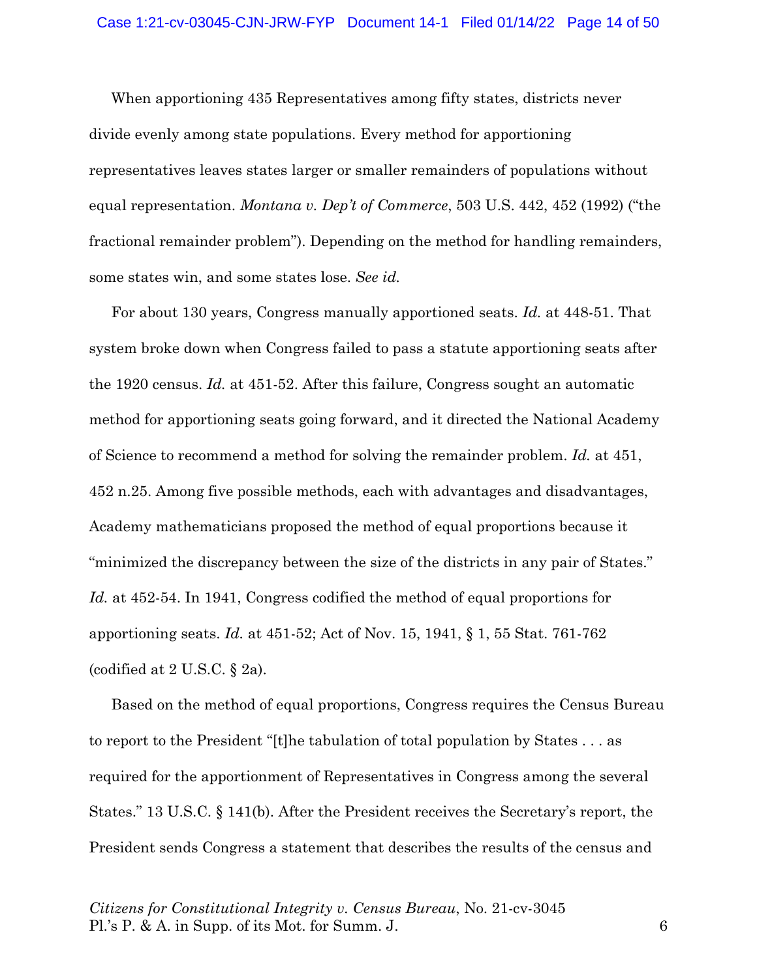When apportioning 435 Representatives among fifty states, districts never divide evenly among state populations. Every method for apportioning representatives leaves states larger or smaller remainders of populations without equal representation. *Montana v. Dep't of Commerce*, 503 U.S. 442, 452 (1992) ("the fractional remainder problem"). Depending on the method for handling remainders, some states win, and some states lose. *See id.*

For about 130 years, Congress manually apportioned seats. *Id.* at 448-51. That system broke down when Congress failed to pass a statute apportioning seats after the 1920 census. *Id.* at 451-52. After this failure, Congress sought an automatic method for apportioning seats going forward, and it directed the National Academy of Science to recommend a method for solving the remainder problem. *Id.* at 451, 452 n.25. Among five possible methods, each with advantages and disadvantages, Academy mathematicians proposed the method of equal proportions because it "minimized the discrepancy between the size of the districts in any pair of States." *Id.* at 452-54. In 1941, Congress codified the method of equal proportions for apportioning seats. *Id.* at 451-52; Act of Nov. 15, 1941, § 1, 55 Stat. 761-762 (codified at 2 U.S.C. § 2a).

Based on the method of equal proportions, Congress requires the Census Bureau to report to the President "[t]he tabulation of total population by States . . . as required for the apportionment of Representatives in Congress among the several States." 13 U.S.C. § 141(b). After the President receives the Secretary's report, the President sends Congress a statement that describes the results of the census and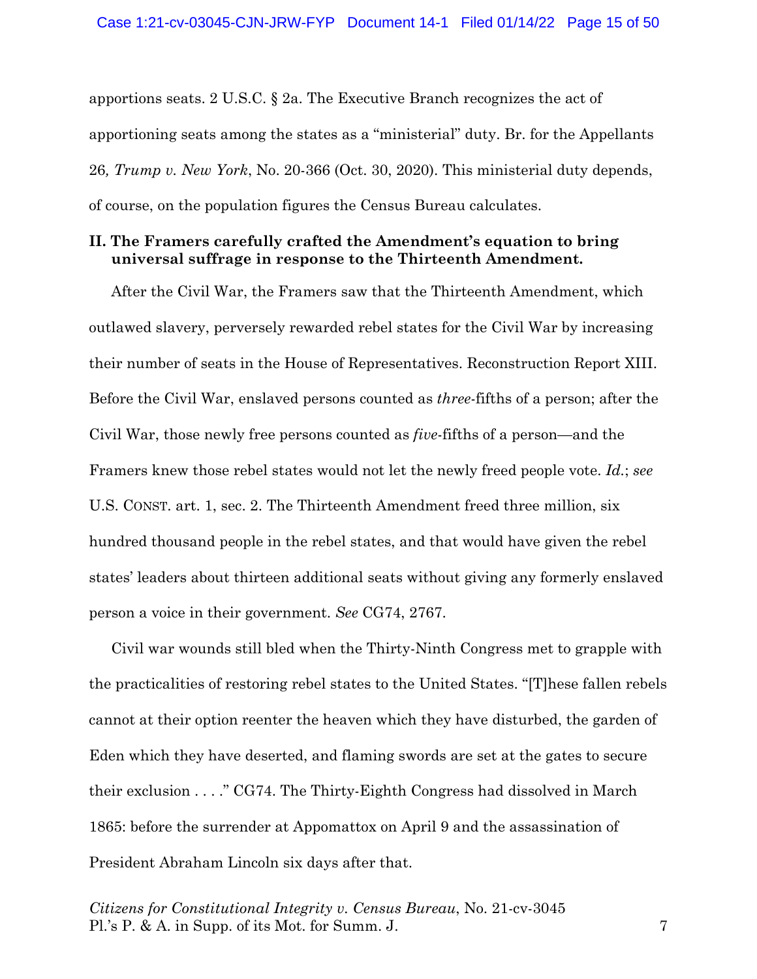apportions seats. 2 U.S.C. § 2a. The Executive Branch recognizes the act of apportioning seats among the states as a "ministerial" duty. Br. for the Appellants 26*, Trump v. New York*, No. 20-366 (Oct. 30, 2020). This ministerial duty depends, of course, on the population figures the Census Bureau calculates.

### **II. The Framers carefully crafted the Amendment's equation to bring universal suffrage in response to the Thirteenth Amendment.**

After the Civil War, the Framers saw that the Thirteenth Amendment, which outlawed slavery, perversely rewarded rebel states for the Civil War by increasing their number of seats in the House of Representatives. Reconstruction Report XIII. Before the Civil War, enslaved persons counted as *three*-fifths of a person; after the Civil War, those newly free persons counted as *five*-fifths of a person—and the Framers knew those rebel states would not let the newly freed people vote. *Id.*; *see*  U.S. CONST. art. 1, sec. 2. The Thirteenth Amendment freed three million, six hundred thousand people in the rebel states, and that would have given the rebel states' leaders about thirteen additional seats without giving any formerly enslaved person a voice in their government. *See* CG74, 2767.

Civil war wounds still bled when the Thirty-Ninth Congress met to grapple with the practicalities of restoring rebel states to the United States. "[T]hese fallen rebels cannot at their option reenter the heaven which they have disturbed, the garden of Eden which they have deserted, and flaming swords are set at the gates to secure their exclusion . . . ." CG74. The Thirty-Eighth Congress had dissolved in March 1865: before the surrender at Appomattox on April 9 and the assassination of President Abraham Lincoln six days after that.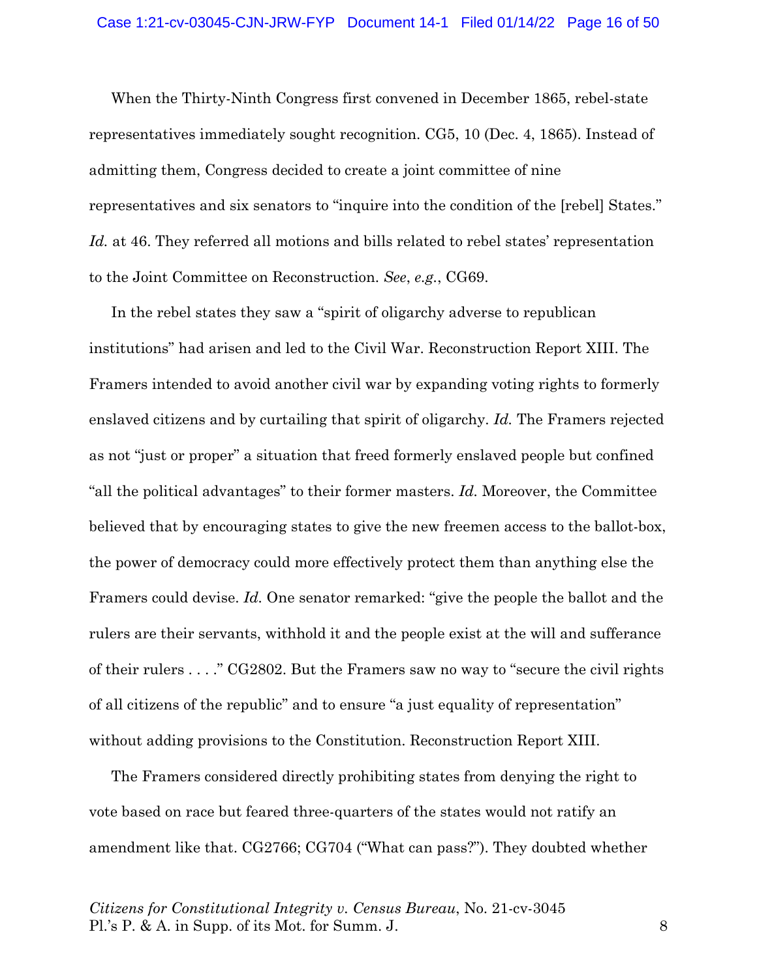When the Thirty-Ninth Congress first convened in December 1865, rebel-state representatives immediately sought recognition. CG5, 10 (Dec. 4, 1865). Instead of admitting them, Congress decided to create a joint committee of nine representatives and six senators to "inquire into the condition of the [rebel] States." Id. at 46. They referred all motions and bills related to rebel states' representation to the Joint Committee on Reconstruction. *See*, *e.g.*, CG69.

In the rebel states they saw a "spirit of oligarchy adverse to republican institutions" had arisen and led to the Civil War. Reconstruction Report XIII. The Framers intended to avoid another civil war by expanding voting rights to formerly enslaved citizens and by curtailing that spirit of oligarchy. *Id.* The Framers rejected as not "just or proper" a situation that freed formerly enslaved people but confined "all the political advantages" to their former masters. *Id.* Moreover, the Committee believed that by encouraging states to give the new freemen access to the ballot-box, the power of democracy could more effectively protect them than anything else the Framers could devise. *Id.* One senator remarked: "give the people the ballot and the rulers are their servants, withhold it and the people exist at the will and sufferance of their rulers . . . ." CG2802. But the Framers saw no way to "secure the civil rights of all citizens of the republic" and to ensure "a just equality of representation" without adding provisions to the Constitution. Reconstruction Report XIII.

The Framers considered directly prohibiting states from denying the right to vote based on race but feared three-quarters of the states would not ratify an amendment like that. CG2766; CG704 ("What can pass?"). They doubted whether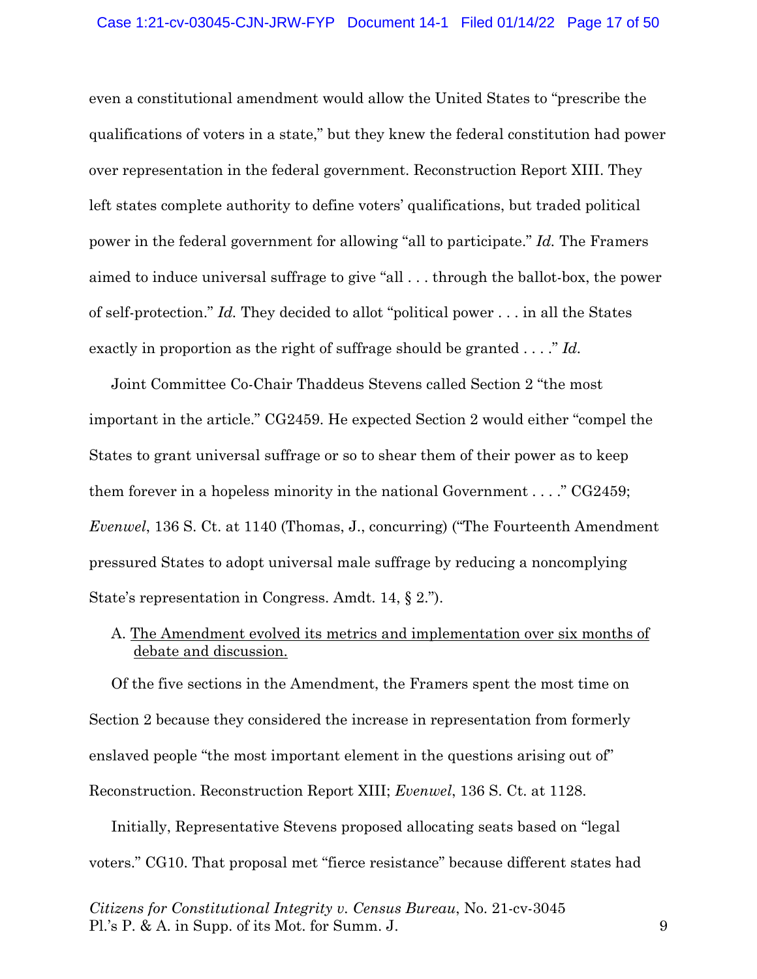even a constitutional amendment would allow the United States to "prescribe the qualifications of voters in a state," but they knew the federal constitution had power over representation in the federal government. Reconstruction Report XIII. They left states complete authority to define voters' qualifications, but traded political power in the federal government for allowing "all to participate." *Id.* The Framers aimed to induce universal suffrage to give "all . . . through the ballot-box, the power of self-protection." *Id.* They decided to allot "political power . . . in all the States exactly in proportion as the right of suffrage should be granted . . . ." *Id.* 

Joint Committee Co-Chair Thaddeus Stevens called Section 2 "the most important in the article." CG2459. He expected Section 2 would either "compel the States to grant universal suffrage or so to shear them of their power as to keep them forever in a hopeless minority in the national Government . . . ." CG2459; *Evenwel*, 136 S. Ct. at 1140 (Thomas, J., concurring) ("The Fourteenth Amendment pressured States to adopt universal male suffrage by reducing a noncomplying State's representation in Congress. Amdt. 14, § 2.").

# A. The Amendment evolved its metrics and implementation over six months of debate and discussion.

Of the five sections in the Amendment, the Framers spent the most time on Section 2 because they considered the increase in representation from formerly enslaved people "the most important element in the questions arising out of" Reconstruction. Reconstruction Report XIII; *Evenwel*, 136 S. Ct. at 1128.

Initially, Representative Stevens proposed allocating seats based on "legal voters." CG10. That proposal met "fierce resistance" because different states had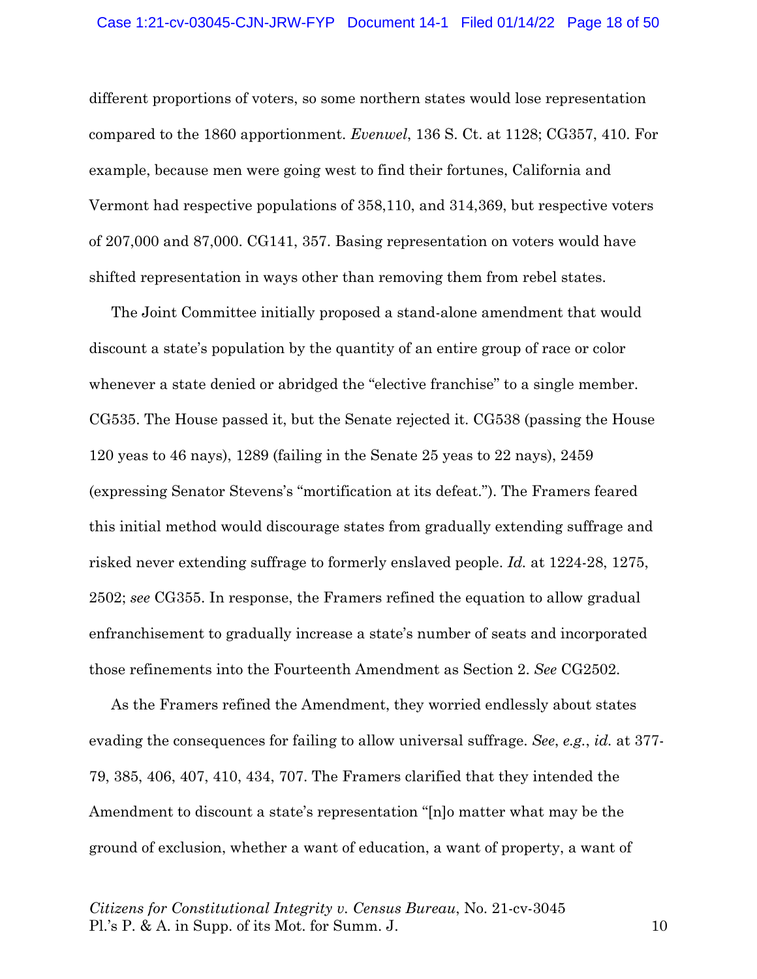different proportions of voters, so some northern states would lose representation compared to the 1860 apportionment. *Evenwel*, 136 S. Ct. at 1128; CG357, 410. For example, because men were going west to find their fortunes, California and Vermont had respective populations of 358,110, and 314,369, but respective voters of 207,000 and 87,000. CG141, 357. Basing representation on voters would have shifted representation in ways other than removing them from rebel states.

The Joint Committee initially proposed a stand-alone amendment that would discount a state's population by the quantity of an entire group of race or color whenever a state denied or abridged the "elective franchise" to a single member. CG535. The House passed it, but the Senate rejected it. CG538 (passing the House 120 yeas to 46 nays), 1289 (failing in the Senate 25 yeas to 22 nays), 2459 (expressing Senator Stevens's "mortification at its defeat."). The Framers feared this initial method would discourage states from gradually extending suffrage and risked never extending suffrage to formerly enslaved people. *Id.* at 1224-28, 1275, 2502; *see* CG355. In response, the Framers refined the equation to allow gradual enfranchisement to gradually increase a state's number of seats and incorporated those refinements into the Fourteenth Amendment as Section 2. *See* CG2502.

As the Framers refined the Amendment, they worried endlessly about states evading the consequences for failing to allow universal suffrage. *See*, *e.g.*, *id.* at 377- 79, 385, 406, 407, 410, 434, 707. The Framers clarified that they intended the Amendment to discount a state's representation "[n]o matter what may be the ground of exclusion, whether a want of education, a want of property, a want of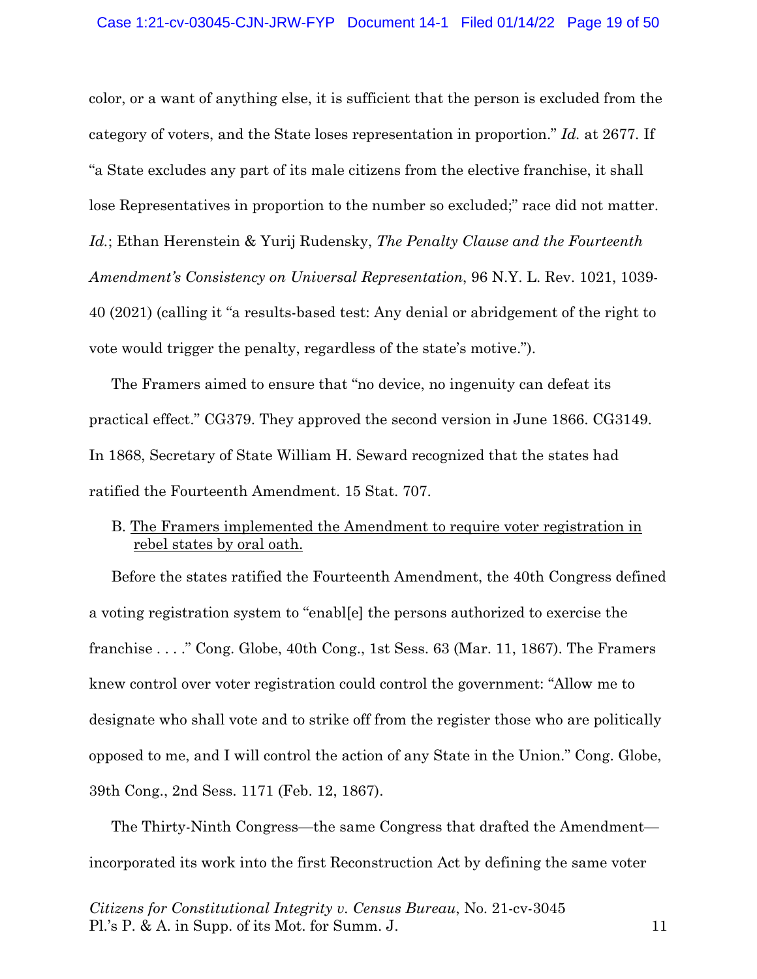color, or a want of anything else, it is sufficient that the person is excluded from the category of voters, and the State loses representation in proportion." *Id.* at 2677*.* If "a State excludes any part of its male citizens from the elective franchise, it shall lose Representatives in proportion to the number so excluded;" race did not matter. *Id.*; Ethan Herenstein & Yurij Rudensky, *The Penalty Clause and the Fourteenth Amendment's Consistency on Universal Representation*, 96 N.Y. L. Rev. 1021, 1039- 40 (2021) (calling it "a results-based test: Any denial or abridgement of the right to vote would trigger the penalty, regardless of the state's motive.").

The Framers aimed to ensure that "no device, no ingenuity can defeat its practical effect." CG379. They approved the second version in June 1866. CG3149. In 1868, Secretary of State William H. Seward recognized that the states had ratified the Fourteenth Amendment. 15 Stat. 707.

## B. The Framers implemented the Amendment to require voter registration in rebel states by oral oath.

Before the states ratified the Fourteenth Amendment, the 40th Congress defined a voting registration system to "enabl[e] the persons authorized to exercise the franchise . . . ." Cong. Globe, 40th Cong., 1st Sess. 63 (Mar. 11, 1867). The Framers knew control over voter registration could control the government: "Allow me to designate who shall vote and to strike off from the register those who are politically opposed to me, and I will control the action of any State in the Union." Cong. Globe, 39th Cong., 2nd Sess. 1171 (Feb. 12, 1867).

The Thirty-Ninth Congress—the same Congress that drafted the Amendment incorporated its work into the first Reconstruction Act by defining the same voter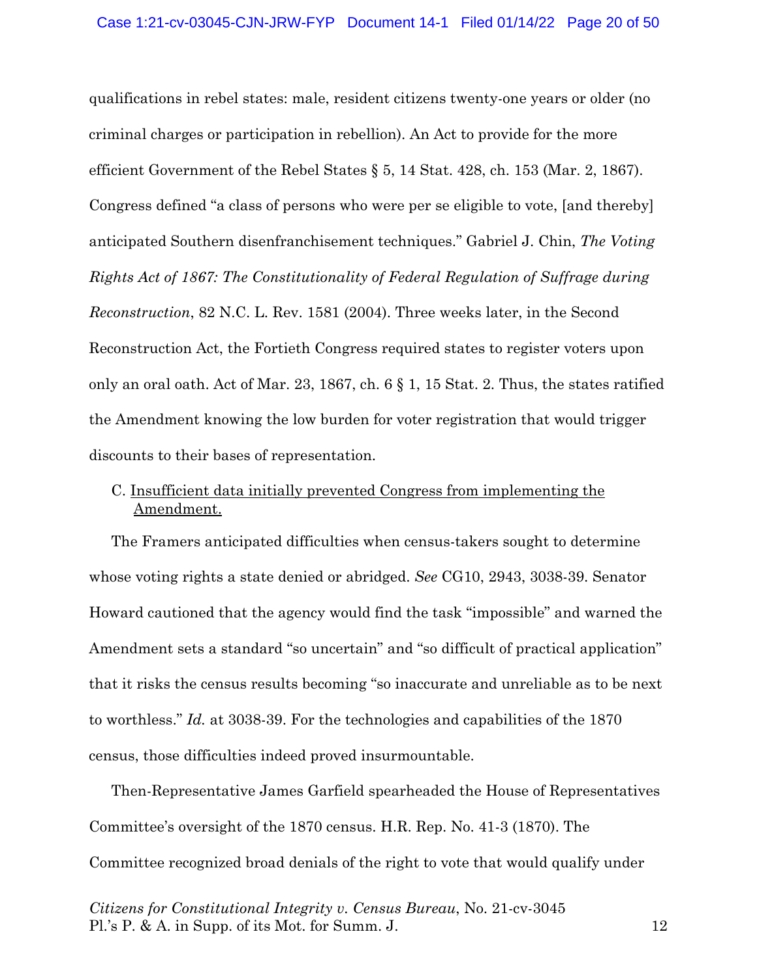qualifications in rebel states: male, resident citizens twenty-one years or older (no criminal charges or participation in rebellion). An Act to provide for the more efficient Government of the Rebel States  $\S 5$ , 14 Stat. 428, ch. 153 (Mar. 2, 1867). Congress defined "a class of persons who were per se eligible to vote, [and thereby] anticipated Southern disenfranchisement techniques." Gabriel J. Chin, *The Voting Rights Act of 1867: The Constitutionality of Federal Regulation of Suffrage during Reconstruction*, 82 N.C. L. Rev. 1581 (2004). Three weeks later, in the Second Reconstruction Act, the Fortieth Congress required states to register voters upon only an oral oath. Act of Mar. 23, 1867, ch.  $6 \S 1$ , 15 Stat. 2. Thus, the states ratified the Amendment knowing the low burden for voter registration that would trigger discounts to their bases of representation.

# C. Insufficient data initially prevented Congress from implementing the Amendment.

The Framers anticipated difficulties when census-takers sought to determine whose voting rights a state denied or abridged. *See* CG10, 2943, 3038-39. Senator Howard cautioned that the agency would find the task "impossible" and warned the Amendment sets a standard "so uncertain" and "so difficult of practical application" that it risks the census results becoming "so inaccurate and unreliable as to be next to worthless." *Id.* at 3038-39. For the technologies and capabilities of the 1870 census, those difficulties indeed proved insurmountable.

Then-Representative James Garfield spearheaded the House of Representatives Committee's oversight of the 1870 census. H.R. Rep. No. 41-3 (1870). The Committee recognized broad denials of the right to vote that would qualify under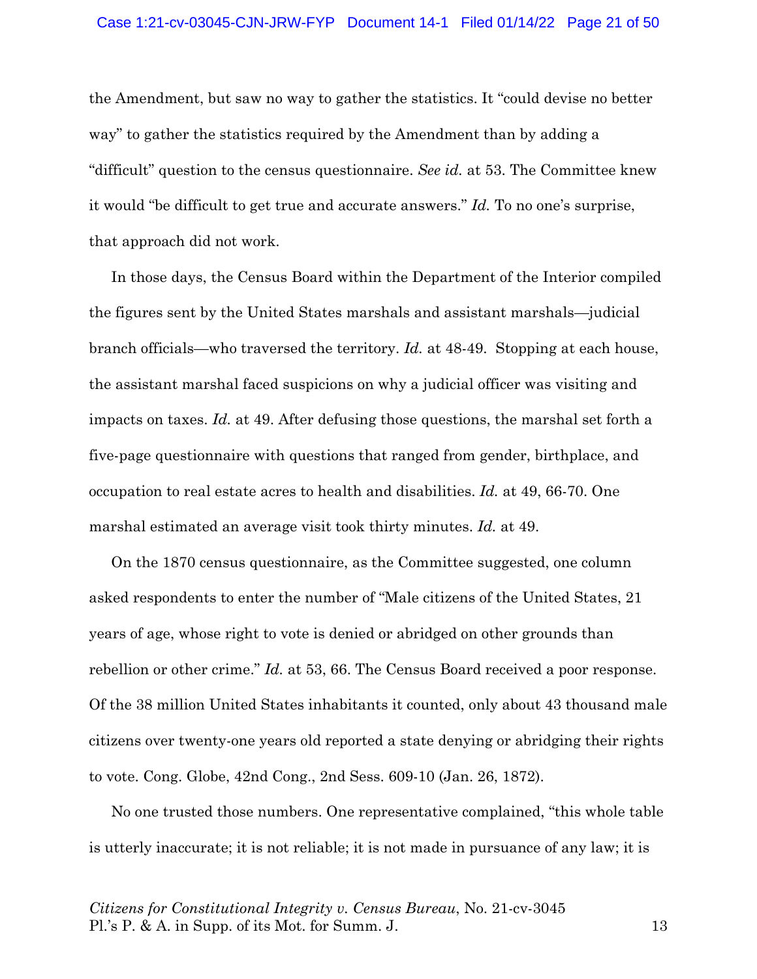the Amendment, but saw no way to gather the statistics. It "could devise no better way" to gather the statistics required by the Amendment than by adding a "difficult" question to the census questionnaire. *See id.* at 53. The Committee knew it would "be difficult to get true and accurate answers." *Id.* To no one's surprise, that approach did not work.

In those days, the Census Board within the Department of the Interior compiled the figures sent by the United States marshals and assistant marshals—judicial branch officials—who traversed the territory. *Id.* at 48-49. Stopping at each house, the assistant marshal faced suspicions on why a judicial officer was visiting and impacts on taxes. *Id.* at 49. After defusing those questions, the marshal set forth a five-page questionnaire with questions that ranged from gender, birthplace, and occupation to real estate acres to health and disabilities. *Id.* at 49, 66-70. One marshal estimated an average visit took thirty minutes. *Id.* at 49.

On the 1870 census questionnaire, as the Committee suggested, one column asked respondents to enter the number of "Male citizens of the United States, 21 years of age, whose right to vote is denied or abridged on other grounds than rebellion or other crime." *Id.* at 53, 66. The Census Board received a poor response. Of the 38 million United States inhabitants it counted, only about 43 thousand male citizens over twenty-one years old reported a state denying or abridging their rights to vote. Cong. Globe, 42nd Cong., 2nd Sess. 609-10 (Jan. 26, 1872).

No one trusted those numbers. One representative complained, "this whole table is utterly inaccurate; it is not reliable; it is not made in pursuance of any law; it is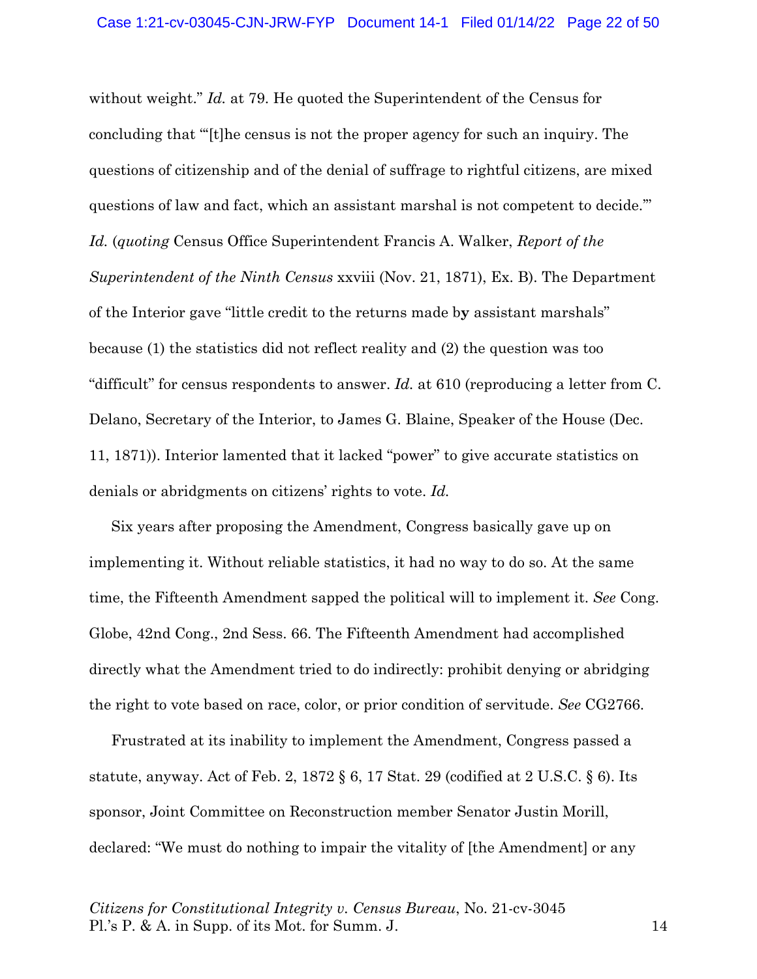without weight." *Id.* at 79. He quoted the Superintendent of the Census for concluding that "'[t]he census is not the proper agency for such an inquiry. The questions of citizenship and of the denial of suffrage to rightful citizens, are mixed questions of law and fact, which an assistant marshal is not competent to decide.'" *Id.* (*quoting* Census Office Superintendent Francis A. Walker, *Report of the Superintendent of the Ninth Census* xxviii (Nov. 21, 1871), Ex. B). The Department of the Interior gave "little credit to the returns made b**y** assistant marshals" because (1) the statistics did not reflect reality and (2) the question was too "difficult" for census respondents to answer. *Id.* at 610 (reproducing a letter from C. Delano, Secretary of the Interior, to James G. Blaine, Speaker of the House (Dec. 11, 1871)). Interior lamented that it lacked "power" to give accurate statistics on denials or abridgments on citizens' rights to vote. *Id.*

Six years after proposing the Amendment, Congress basically gave up on implementing it. Without reliable statistics, it had no way to do so. At the same time, the Fifteenth Amendment sapped the political will to implement it. *See* Cong. Globe, 42nd Cong., 2nd Sess. 66. The Fifteenth Amendment had accomplished directly what the Amendment tried to do indirectly: prohibit denying or abridging the right to vote based on race, color, or prior condition of servitude. *See* CG2766.

Frustrated at its inability to implement the Amendment, Congress passed a statute, anyway. Act of Feb. 2, 1872  $\S 6$ , 17 Stat. 29 (codified at 2 U.S.C.  $\S 6$ ). Its sponsor, Joint Committee on Reconstruction member Senator Justin Morill, declared: "We must do nothing to impair the vitality of [the Amendment] or any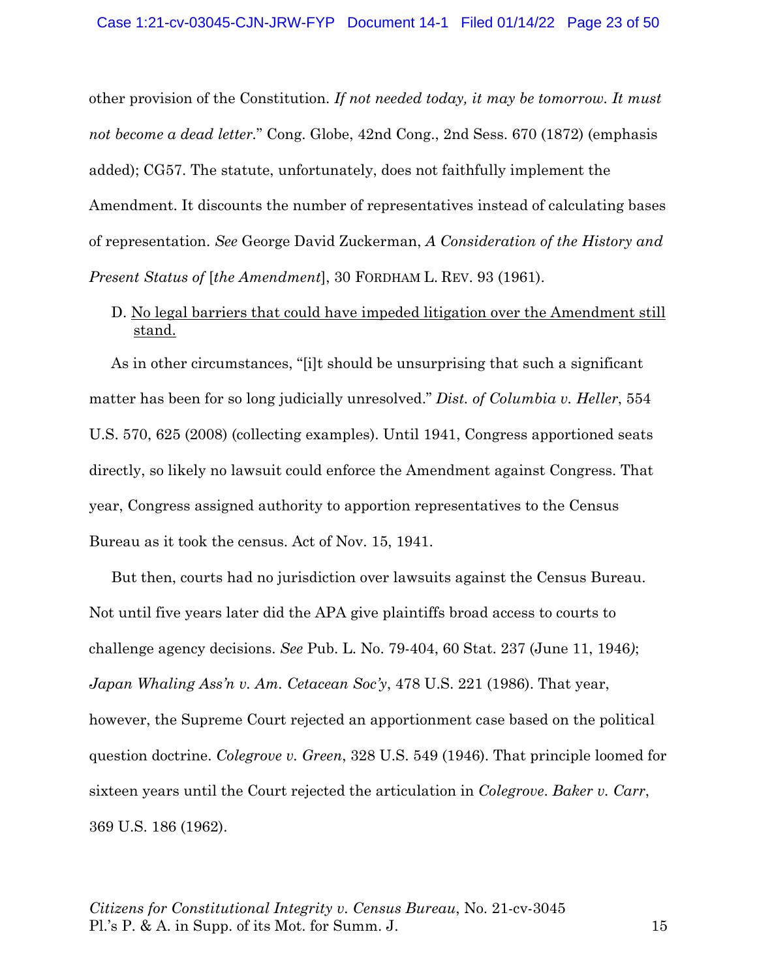other provision of the Constitution. *If not needed today, it may be tomorrow. It must not become a dead letter.*" Cong. Globe, 42nd Cong., 2nd Sess. 670 (1872) (emphasis added); CG57. The statute, unfortunately, does not faithfully implement the Amendment. It discounts the number of representatives instead of calculating bases of representation. *See* George David Zuckerman, *A Consideration of the History and Present Status of* [*the Amendment*], 30 FORDHAM L. REV. 93 (1961).

# D. No legal barriers that could have impeded litigation over the Amendment still stand.

As in other circumstances, "[i]t should be unsurprising that such a significant matter has been for so long judicially unresolved." *Dist. of Columbia v. Heller*, 554 U.S. 570, 625 (2008) (collecting examples). Until 1941, Congress apportioned seats directly, so likely no lawsuit could enforce the Amendment against Congress. That year, Congress assigned authority to apportion representatives to the Census Bureau as it took the census. Act of Nov. 15, 1941.

But then, courts had no jurisdiction over lawsuits against the Census Bureau. Not until five years later did the APA give plaintiffs broad access to courts to challenge agency decisions. *See* Pub. L. No. 79-404, 60 Stat. 237 (June 11, 1946*)*; *Japan Whaling Ass'n v. Am. Cetacean Soc'y*, 478 U.S. 221 (1986). That year, however, the Supreme Court rejected an apportionment case based on the political question doctrine. *Colegrove v. Green*, 328 U.S. 549 (1946). That principle loomed for sixteen years until the Court rejected the articulation in *Colegrove*. *Baker v. Carr*, 369 U.S. 186 (1962).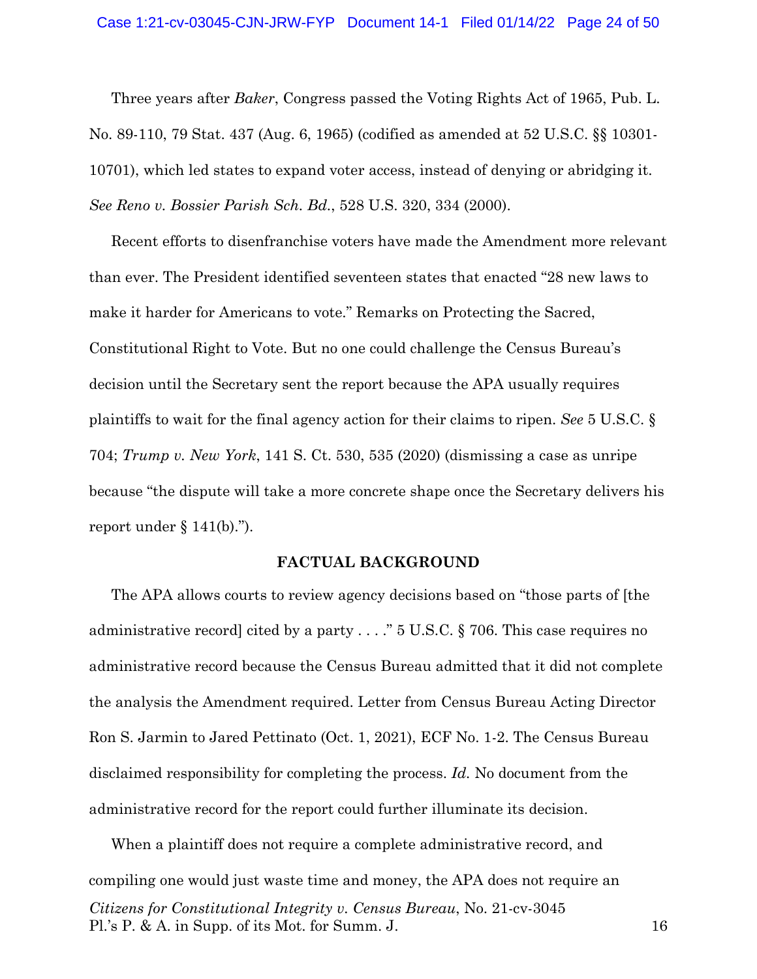Three years after *Baker*, Congress passed the Voting Rights Act of 1965, Pub. L. No. 89-110, 79 Stat. 437 (Aug. 6, 1965) (codified as amended at 52 U.S.C. §§ 10301- 10701), which led states to expand voter access, instead of denying or abridging it. *See Reno v. Bossier Parish Sch. Bd.*, 528 U.S. 320, 334 (2000).

Recent efforts to disenfranchise voters have made the Amendment more relevant than ever. The President identified seventeen states that enacted "28 new laws to make it harder for Americans to vote." Remarks on Protecting the Sacred, Constitutional Right to Vote. But no one could challenge the Census Bureau's decision until the Secretary sent the report because the APA usually requires plaintiffs to wait for the final agency action for their claims to ripen. *See* 5 U.S.C. § 704; *Trump v. New York*, 141 S. Ct. 530, 535 (2020) (dismissing a case as unripe because "the dispute will take a more concrete shape once the Secretary delivers his report under  $\S 141(b)$ .").

#### **FACTUAL BACKGROUND**

The APA allows courts to review agency decisions based on "those parts of [the administrative record] cited by a party . . . ." 5 U.S.C. § 706. This case requires no administrative record because the Census Bureau admitted that it did not complete the analysis the Amendment required. Letter from Census Bureau Acting Director Ron S. Jarmin to Jared Pettinato (Oct. 1, 2021), ECF No. 1-2. The Census Bureau disclaimed responsibility for completing the process. *Id.* No document from the administrative record for the report could further illuminate its decision.

*Citizens for Constitutional Integrity v. Census Bureau*, No. 21-cv-3045 Pl.'s P. & A. in Supp. of its Mot. for Summ. J. 16 When a plaintiff does not require a complete administrative record, and compiling one would just waste time and money, the APA does not require an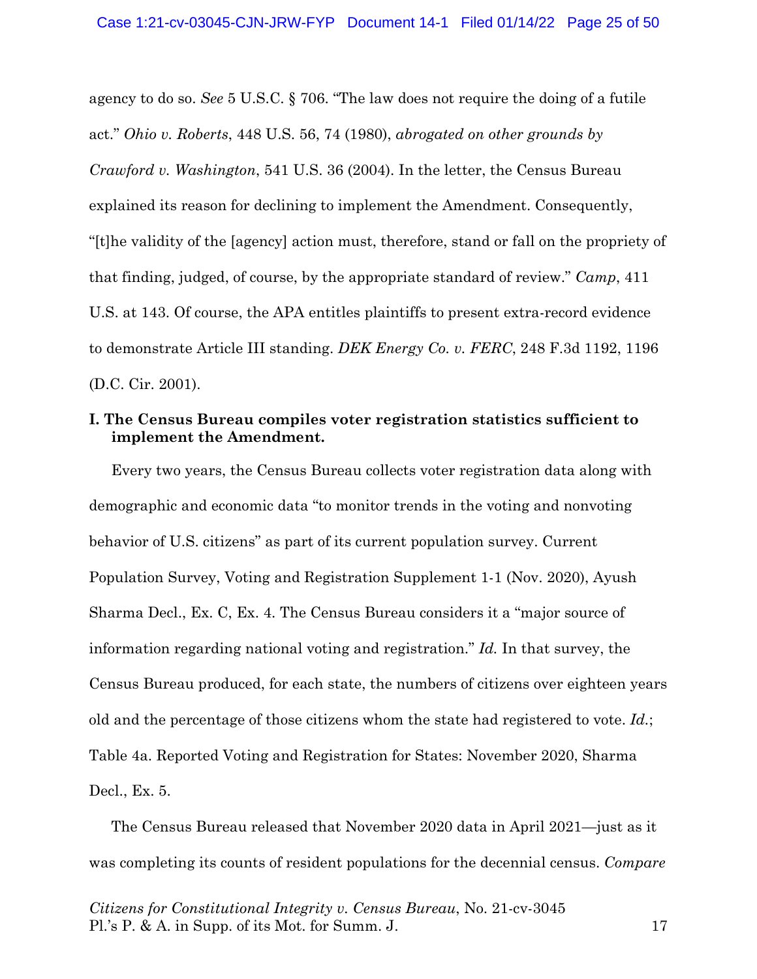agency to do so. *See* 5 U.S.C. § 706. "The law does not require the doing of a futile act." *Ohio v. Roberts*, 448 U.S. 56, 74 (1980), *abrogated on other grounds by Crawford v. Washington*, 541 U.S. 36 (2004). In the letter, the Census Bureau explained its reason for declining to implement the Amendment. Consequently, "[t]he validity of the [agency] action must, therefore, stand or fall on the propriety of that finding, judged, of course, by the appropriate standard of review." *Camp*, 411 U.S. at 143. Of course, the APA entitles plaintiffs to present extra-record evidence to demonstrate Article III standing. *DEK Energy Co. v. FERC*, 248 F.3d 1192, 1196 (D.C. Cir. 2001).

### **I. The Census Bureau compiles voter registration statistics sufficient to implement the Amendment.**

Every two years, the Census Bureau collects voter registration data along with demographic and economic data "to monitor trends in the voting and nonvoting behavior of U.S. citizens" as part of its current population survey. Current Population Survey, Voting and Registration Supplement 1-1 (Nov. 2020), Ayush Sharma Decl., Ex. C, Ex. 4. The Census Bureau considers it a "major source of information regarding national voting and registration." *Id.* In that survey, the Census Bureau produced, for each state, the numbers of citizens over eighteen years old and the percentage of those citizens whom the state had registered to vote. *Id.*; Table 4a. Reported Voting and Registration for States: November 2020, Sharma Decl., Ex. 5.

The Census Bureau released that November 2020 data in April 2021—just as it was completing its counts of resident populations for the decennial census. *Compare*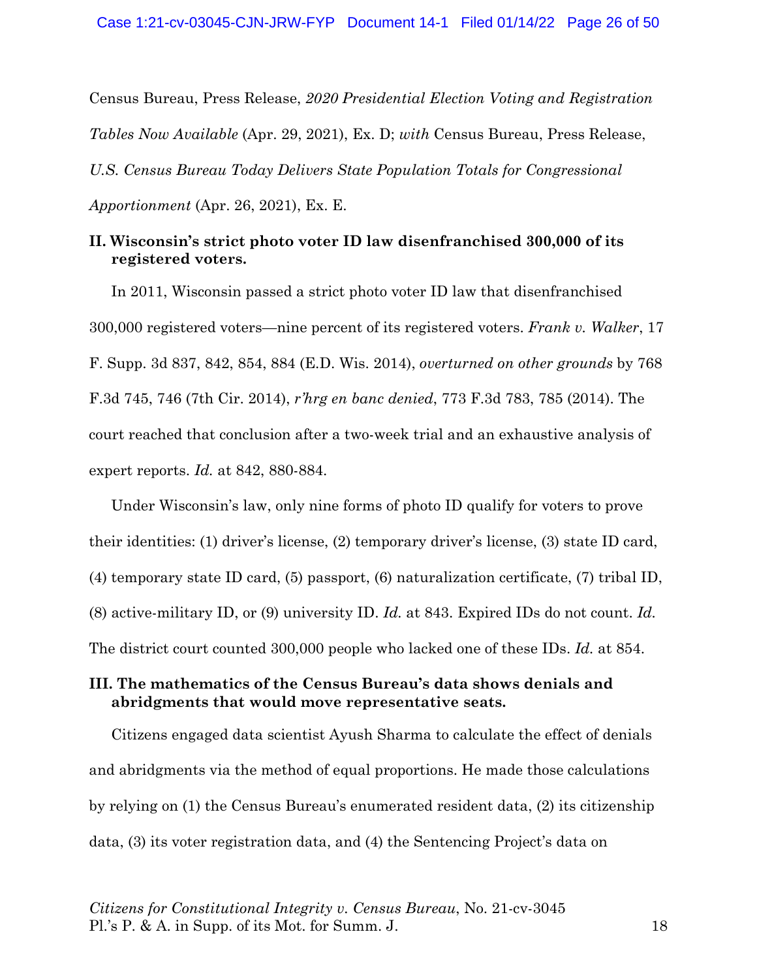Census Bureau, Press Release, *2020 Presidential Election Voting and Registration Tables Now Available* (Apr. 29, 2021), Ex. D; *with* Census Bureau, Press Release, *U.S. Census Bureau Today Delivers State Population Totals for Congressional Apportionment* (Apr. 26, 2021), Ex. E.

### **II. Wisconsin's strict photo voter ID law disenfranchised 300,000 of its registered voters.**

In 2011, Wisconsin passed a strict photo voter ID law that disenfranchised 300,000 registered voters—nine percent of its registered voters. *Frank v. Walker*, 17 F. Supp. 3d 837, 842, 854, 884 (E.D. Wis. 2014), *overturned on other grounds* by 768 F.3d 745, 746 (7th Cir. 2014), *r'hrg en banc denied*, 773 F.3d 783, 785 (2014). The court reached that conclusion after a two-week trial and an exhaustive analysis of expert reports. *Id.* at 842, 880-884.

Under Wisconsin's law, only nine forms of photo ID qualify for voters to prove their identities: (1) driver's license, (2) temporary driver's license, (3) state ID card, (4) temporary state ID card, (5) passport, (6) naturalization certificate, (7) tribal ID, (8) active-military ID, or (9) university ID. *Id.* at 843. Expired IDs do not count. *Id.* The district court counted 300,000 people who lacked one of these IDs. *Id.* at 854.

# **III. The mathematics of the Census Bureau's data shows denials and abridgments that would move representative seats.**

Citizens engaged data scientist Ayush Sharma to calculate the effect of denials and abridgments via the method of equal proportions. He made those calculations by relying on (1) the Census Bureau's enumerated resident data, (2) its citizenship data, (3) its voter registration data, and (4) the Sentencing Project's data on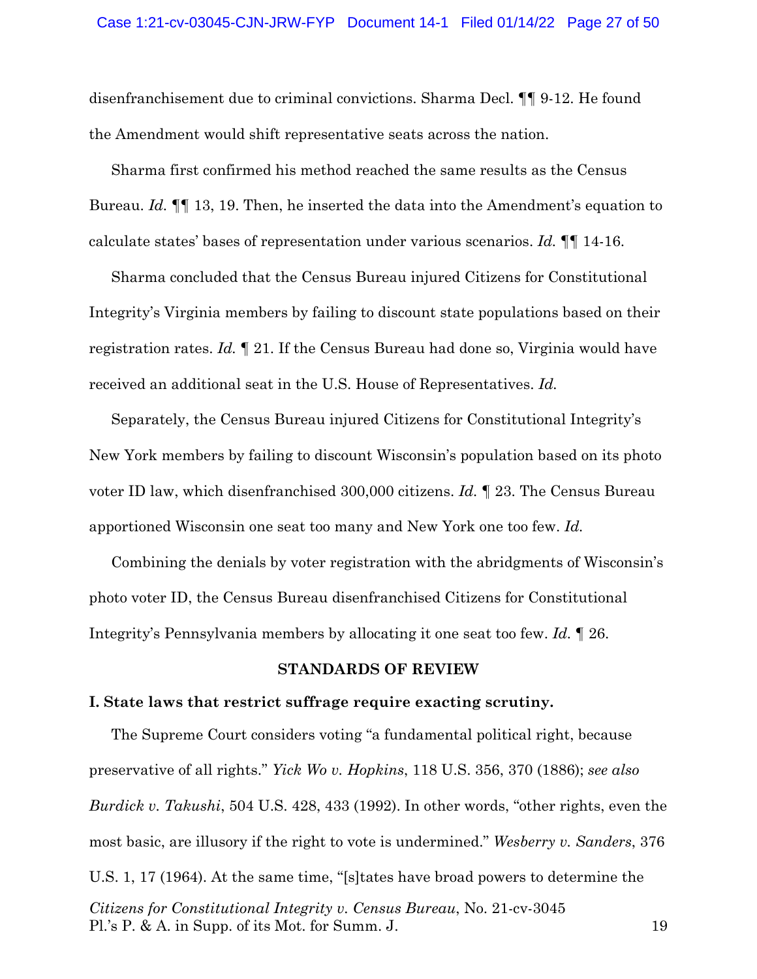disenfranchisement due to criminal convictions. Sharma Decl. ¶¶ 9-12. He found the Amendment would shift representative seats across the nation.

Sharma first confirmed his method reached the same results as the Census Bureau. *Id.* ¶¶ 13, 19. Then, he inserted the data into the Amendment's equation to calculate states' bases of representation under various scenarios. *Id.* ¶¶ 14-16.

Sharma concluded that the Census Bureau injured Citizens for Constitutional Integrity's Virginia members by failing to discount state populations based on their registration rates. *Id.* ¶ 21. If the Census Bureau had done so, Virginia would have received an additional seat in the U.S. House of Representatives. *Id.*

Separately, the Census Bureau injured Citizens for Constitutional Integrity's New York members by failing to discount Wisconsin's population based on its photo voter ID law, which disenfranchised 300,000 citizens. *Id.* ¶ 23. The Census Bureau apportioned Wisconsin one seat too many and New York one too few. *Id.*

Combining the denials by voter registration with the abridgments of Wisconsin's photo voter ID, the Census Bureau disenfranchised Citizens for Constitutional Integrity's Pennsylvania members by allocating it one seat too few. *Id.* ¶ 26.

### **STANDARDS OF REVIEW**

#### **I. State laws that restrict suffrage require exacting scrutiny.**

*Citizens for Constitutional Integrity v. Census Bureau*, No. 21-cv-3045 Pl.'s P. & A. in Supp. of its Mot. for Summ. J. 19 The Supreme Court considers voting "a fundamental political right, because preservative of all rights." *Yick Wo v. Hopkins*, 118 U.S. 356, 370 (1886); *see also Burdick v. Takushi*, 504 U.S. 428, 433 (1992). In other words, "other rights, even the most basic, are illusory if the right to vote is undermined." *Wesberry v. Sanders*, 376 U.S. 1, 17 (1964). At the same time, "[s]tates have broad powers to determine the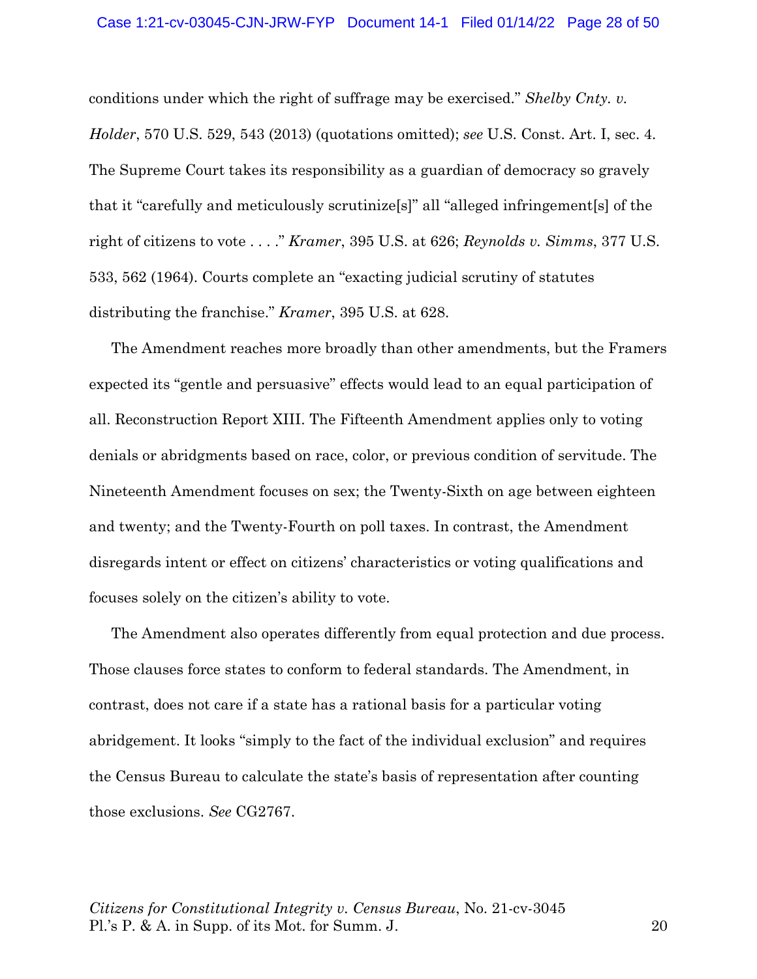conditions under which the right of suffrage may be exercised." *Shelby Cnty. v. Holder*, 570 U.S. 529, 543 (2013) (quotations omitted); *see* U.S. Const. Art. I, sec. 4. The Supreme Court takes its responsibility as a guardian of democracy so gravely that it "carefully and meticulously scrutinize[s]" all "alleged infringement[s] of the right of citizens to vote . . . ." *Kramer*, 395 U.S. at 626; *Reynolds v. Simms*, 377 U.S. 533, 562 (1964). Courts complete an "exacting judicial scrutiny of statutes distributing the franchise." *Kramer*, 395 U.S. at 628.

The Amendment reaches more broadly than other amendments, but the Framers expected its "gentle and persuasive" effects would lead to an equal participation of all. Reconstruction Report XIII. The Fifteenth Amendment applies only to voting denials or abridgments based on race, color, or previous condition of servitude. The Nineteenth Amendment focuses on sex; the Twenty-Sixth on age between eighteen and twenty; and the Twenty-Fourth on poll taxes. In contrast, the Amendment disregards intent or effect on citizens' characteristics or voting qualifications and focuses solely on the citizen's ability to vote.

The Amendment also operates differently from equal protection and due process. Those clauses force states to conform to federal standards. The Amendment, in contrast, does not care if a state has a rational basis for a particular voting abridgement. It looks "simply to the fact of the individual exclusion" and requires the Census Bureau to calculate the state's basis of representation after counting those exclusions. *See* CG2767.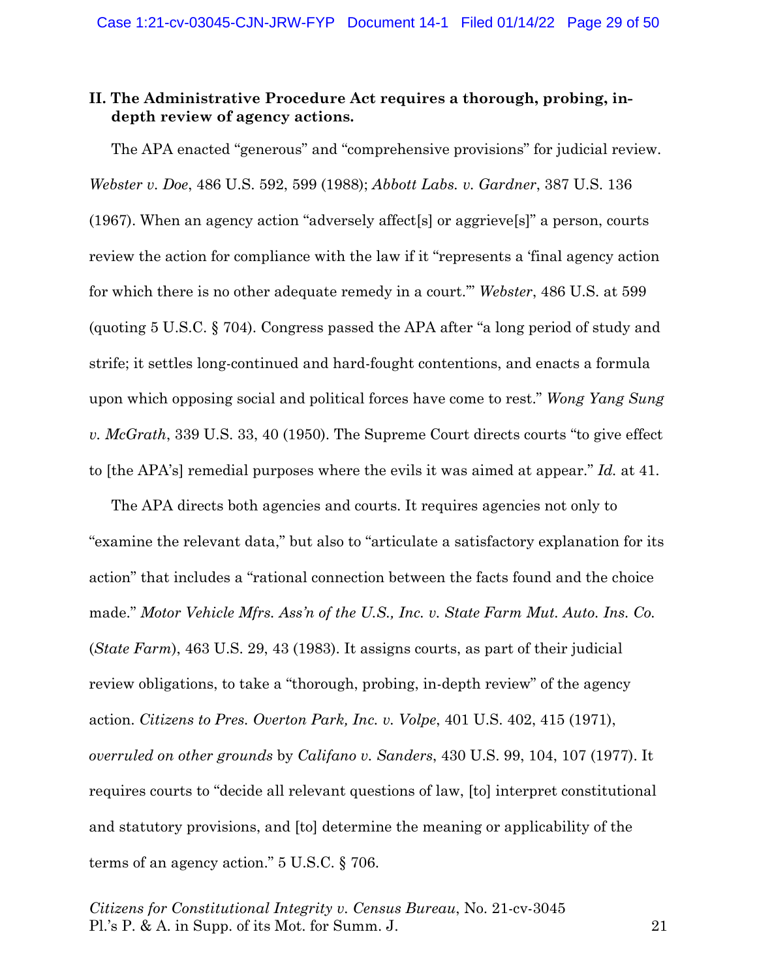## **II. The Administrative Procedure Act requires a thorough, probing, indepth review of agency actions.**

The APA enacted "generous" and "comprehensive provisions" for judicial review. *Webster v. Doe*, 486 U.S. 592, 599 (1988); *Abbott Labs. v. Gardner*, 387 U.S. 136 (1967). When an agency action "adversely affect[s] or aggrieve[s]" a person, courts review the action for compliance with the law if it "represents a 'final agency action for which there is no other adequate remedy in a court.'" *Webster*, 486 U.S. at 599 (quoting 5 U.S.C. § 704). Congress passed the APA after "a long period of study and strife; it settles long-continued and hard-fought contentions, and enacts a formula upon which opposing social and political forces have come to rest." *Wong Yang Sung v. McGrath*, 339 U.S. 33, 40 (1950). The Supreme Court directs courts "to give effect to [the APA's] remedial purposes where the evils it was aimed at appear." *Id.* at 41.

The APA directs both agencies and courts. It requires agencies not only to "examine the relevant data," but also to "articulate a satisfactory explanation for its action" that includes a "rational connection between the facts found and the choice made." *Motor Vehicle Mfrs. Ass'n of the U.S., Inc. v. State Farm Mut. Auto. Ins. Co.* (*State Farm*), 463 U.S. 29, 43 (1983). It assigns courts, as part of their judicial review obligations, to take a "thorough, probing, in-depth review" of the agency action. *Citizens to Pres. Overton Park, Inc. v. Volpe*, 401 U.S. 402, 415 (1971), *overruled on other grounds* by *Califano v. Sanders*, 430 U.S. 99, 104, 107 (1977). It requires courts to "decide all relevant questions of law, [to] interpret constitutional and statutory provisions, and [to] determine the meaning or applicability of the terms of an agency action." 5 U.S.C. § 706.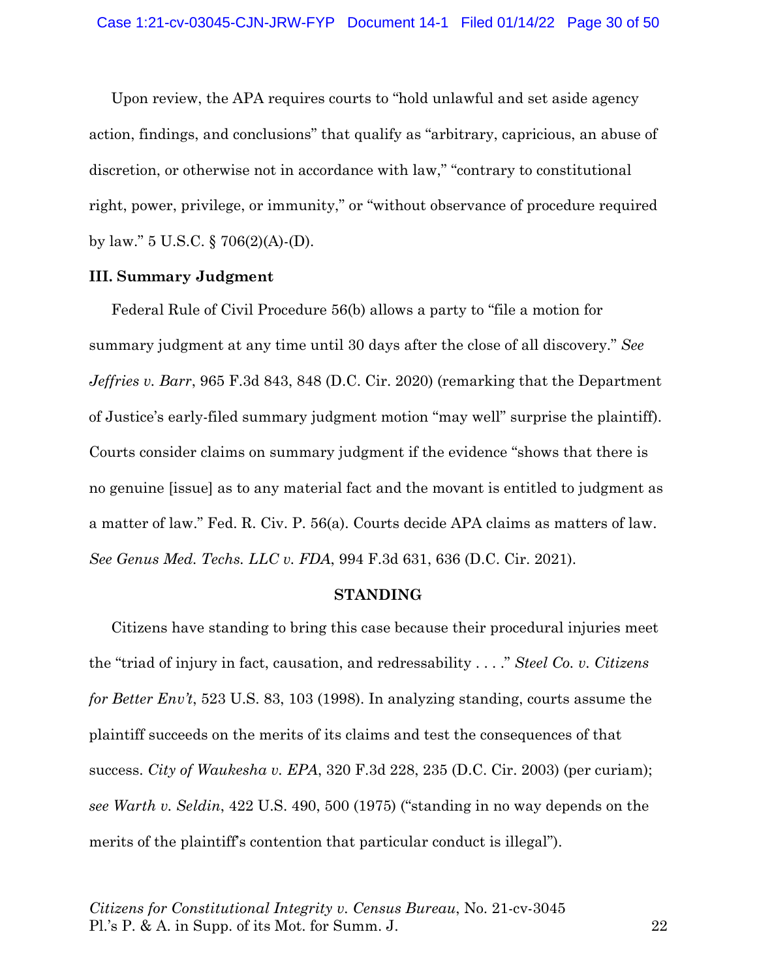Upon review, the APA requires courts to "hold unlawful and set aside agency action, findings, and conclusions" that qualify as "arbitrary, capricious, an abuse of discretion, or otherwise not in accordance with law," "contrary to constitutional right, power, privilege, or immunity," or "without observance of procedure required by law." 5 U.S.C. § 706(2)(A)-(D).

#### **III. Summary Judgment**

Federal Rule of Civil Procedure 56(b) allows a party to "file a motion for summary judgment at any time until 30 days after the close of all discovery." *See Jeffries v. Barr*, 965 F.3d 843, 848 (D.C. Cir. 2020) (remarking that the Department of Justice's early-filed summary judgment motion "may well" surprise the plaintiff). Courts consider claims on summary judgment if the evidence "shows that there is no genuine [issue] as to any material fact and the movant is entitled to judgment as a matter of law." Fed. R. Civ. P. 56(a). Courts decide APA claims as matters of law. *See Genus Med. Techs. LLC v. FDA*, 994 F.3d 631, 636 (D.C. Cir. 2021).

#### **STANDING**

Citizens have standing to bring this case because their procedural injuries meet the "triad of injury in fact, causation, and redressability . . . ." *Steel Co. v. Citizens for Better Env't*, 523 U.S. 83, 103 (1998). In analyzing standing, courts assume the plaintiff succeeds on the merits of its claims and test the consequences of that success. *City of Waukesha v. EPA*, 320 F.3d 228, 235 (D.C. Cir. 2003) (per curiam); *see Warth v. Seldin*, 422 U.S. 490, 500 (1975) ("standing in no way depends on the merits of the plaintiff's contention that particular conduct is illegal").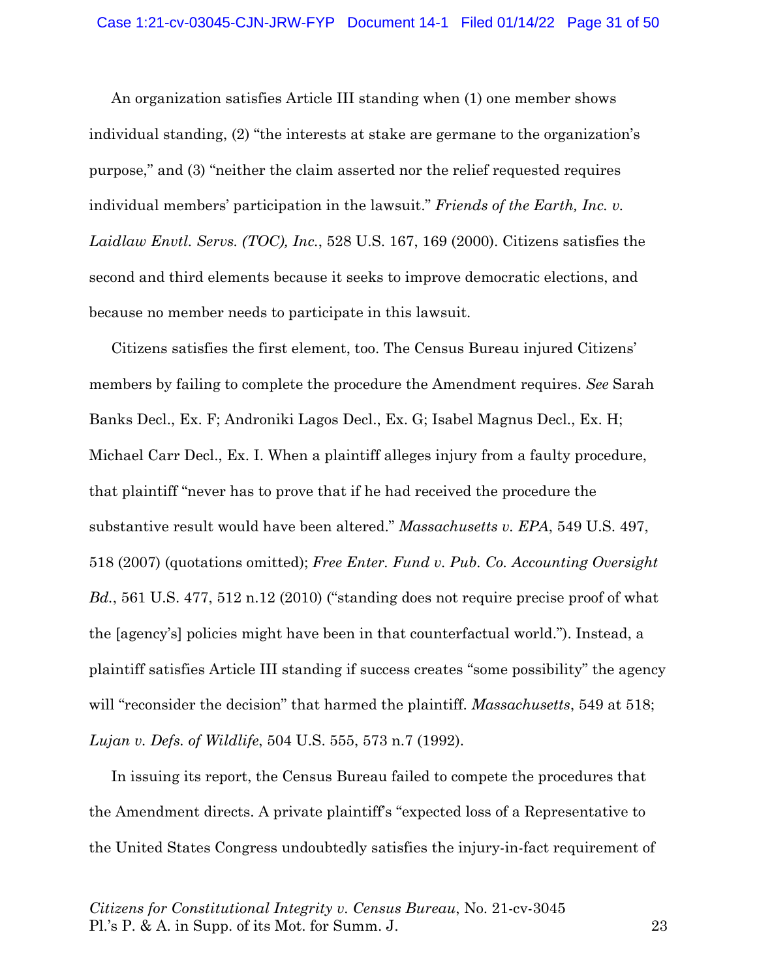An organization satisfies Article III standing when (1) one member shows individual standing, (2) "the interests at stake are germane to the organization's purpose," and (3) "neither the claim asserted nor the relief requested requires individual members' participation in the lawsuit." *Friends of the Earth, Inc. v. Laidlaw Envtl. Servs. (TOC), Inc.*, 528 U.S. 167, 169 (2000). Citizens satisfies the second and third elements because it seeks to improve democratic elections, and because no member needs to participate in this lawsuit.

Citizens satisfies the first element, too. The Census Bureau injured Citizens' members by failing to complete the procedure the Amendment requires. *See* Sarah Banks Decl., Ex. F; Androniki Lagos Decl., Ex. G; Isabel Magnus Decl., Ex. H; Michael Carr Decl., Ex. I. When a plaintiff alleges injury from a faulty procedure, that plaintiff "never has to prove that if he had received the procedure the substantive result would have been altered." *Massachusetts v. EPA*, 549 U.S. 497, 518 (2007) (quotations omitted); *Free Enter. Fund v. Pub. Co. Accounting Oversight Bd.*, 561 U.S. 477, 512 n.12 (2010) ("standing does not require precise proof of what the [agency's] policies might have been in that counterfactual world."). Instead, a plaintiff satisfies Article III standing if success creates "some possibility" the agency will "reconsider the decision" that harmed the plaintiff. *Massachusetts*, 549 at 518; *Lujan v. Defs. of Wildlife*, 504 U.S. 555, 573 n.7 (1992).

In issuing its report, the Census Bureau failed to compete the procedures that the Amendment directs. A private plaintiff's "expected loss of a Representative to the United States Congress undoubtedly satisfies the injury-in-fact requirement of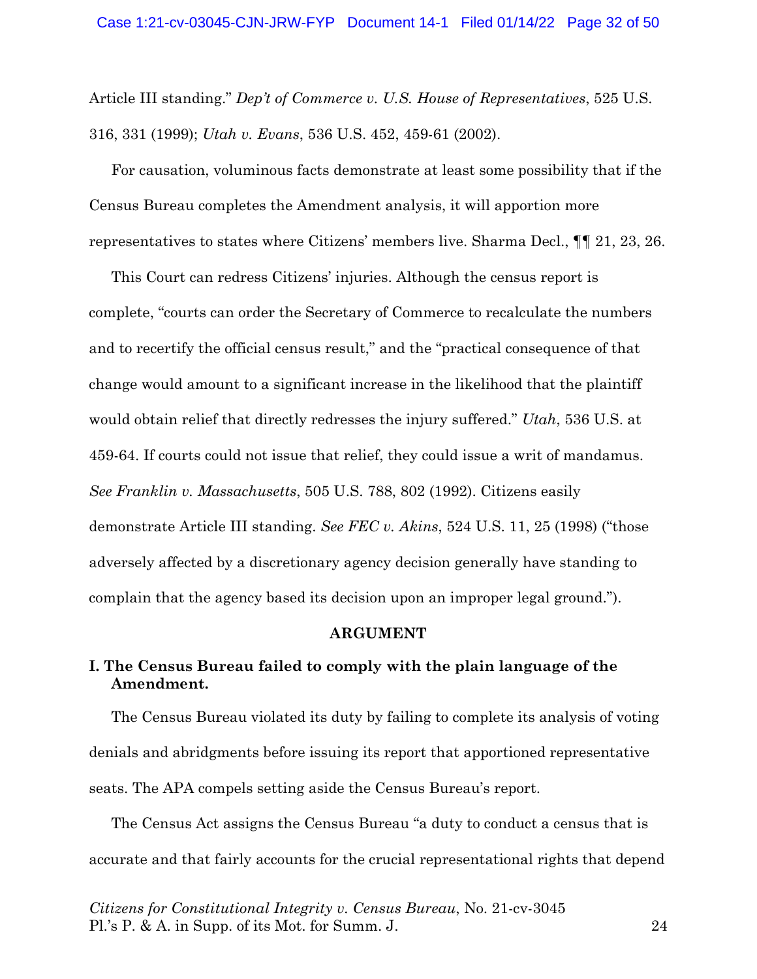Article III standing." *Dep't of Commerce v. U.S. House of Representatives*, 525 U.S. 316, 331 (1999); *Utah v. Evans*, 536 U.S. 452, 459-61 (2002).

For causation, voluminous facts demonstrate at least some possibility that if the Census Bureau completes the Amendment analysis, it will apportion more representatives to states where Citizens' members live. Sharma Decl., ¶¶ 21, 23, 26.

This Court can redress Citizens' injuries. Although the census report is complete, "courts can order the Secretary of Commerce to recalculate the numbers and to recertify the official census result," and the "practical consequence of that change would amount to a significant increase in the likelihood that the plaintiff would obtain relief that directly redresses the injury suffered." *Utah*, 536 U.S. at 459-64. If courts could not issue that relief, they could issue a writ of mandamus. *See Franklin v. Massachusetts*, 505 U.S. 788, 802 (1992). Citizens easily demonstrate Article III standing. *See FEC v. Akins*, 524 U.S. 11, 25 (1998) ("those adversely affected by a discretionary agency decision generally have standing to complain that the agency based its decision upon an improper legal ground.").

#### **ARGUMENT**

## **I. The Census Bureau failed to comply with the plain language of the Amendment.**

The Census Bureau violated its duty by failing to complete its analysis of voting denials and abridgments before issuing its report that apportioned representative seats. The APA compels setting aside the Census Bureau's report.

The Census Act assigns the Census Bureau "a duty to conduct a census that is accurate and that fairly accounts for the crucial representational rights that depend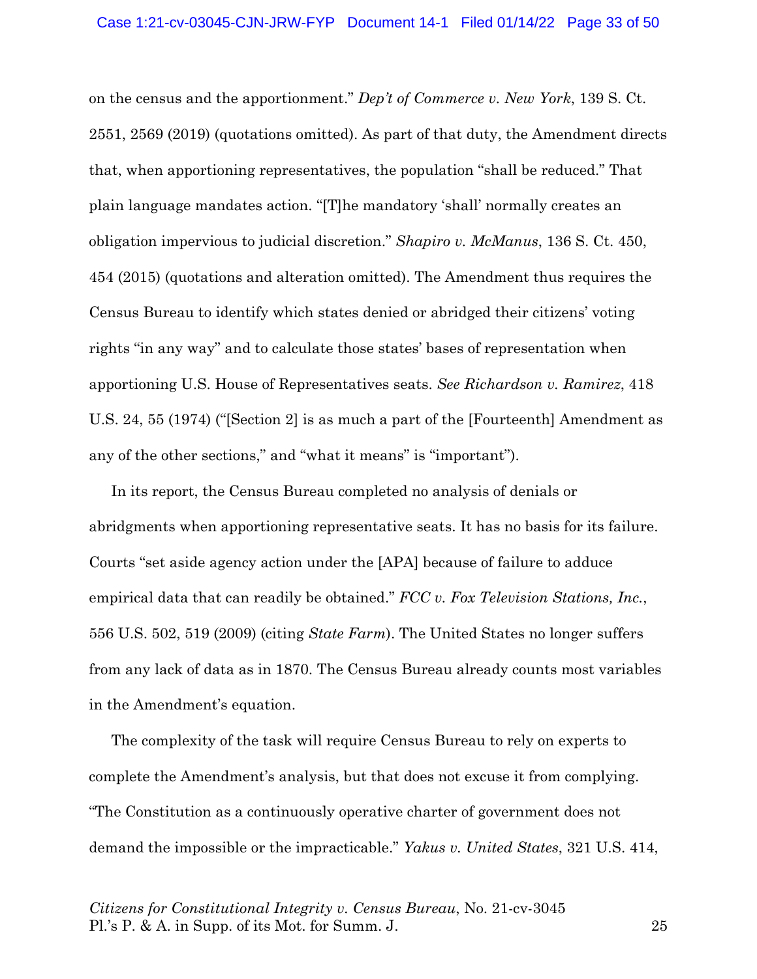on the census and the apportionment." *Dep't of Commerce v. New York*, 139 S. Ct. 2551, 2569 (2019) (quotations omitted). As part of that duty, the Amendment directs that, when apportioning representatives, the population "shall be reduced." That plain language mandates action. "[T]he mandatory 'shall' normally creates an obligation impervious to judicial discretion." *Shapiro v. McManus*, 136 S. Ct. 450, 454 (2015) (quotations and alteration omitted). The Amendment thus requires the Census Bureau to identify which states denied or abridged their citizens' voting rights "in any way" and to calculate those states' bases of representation when apportioning U.S. House of Representatives seats. *See Richardson v. Ramirez*, 418 U.S. 24, 55 (1974) ("[Section 2] is as much a part of the [Fourteenth] Amendment as any of the other sections," and "what it means" is "important").

In its report, the Census Bureau completed no analysis of denials or abridgments when apportioning representative seats. It has no basis for its failure. Courts "set aside agency action under the [APA] because of failure to adduce empirical data that can readily be obtained." *FCC v. Fox Television Stations, Inc.*, 556 U.S. 502, 519 (2009) (citing *State Farm*). The United States no longer suffers from any lack of data as in 1870. The Census Bureau already counts most variables in the Amendment's equation.

The complexity of the task will require Census Bureau to rely on experts to complete the Amendment's analysis, but that does not excuse it from complying. "The Constitution as a continuously operative charter of government does not demand the impossible or the impracticable." *Yakus v. United States*, 321 U.S. 414,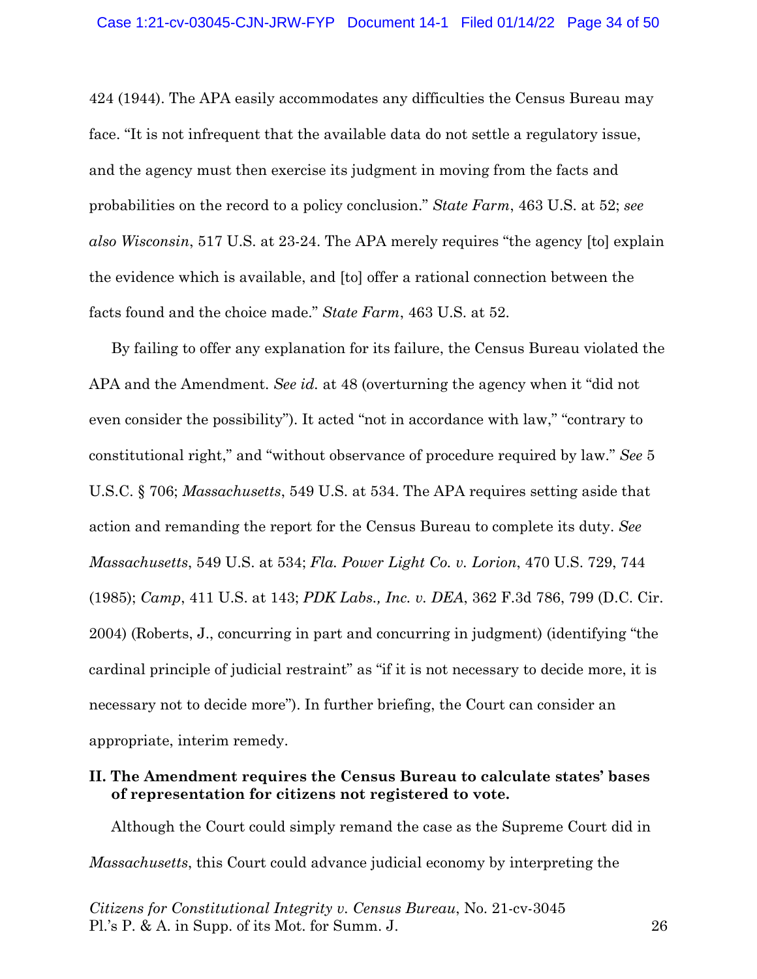424 (1944). The APA easily accommodates any difficulties the Census Bureau may face. "It is not infrequent that the available data do not settle a regulatory issue, and the agency must then exercise its judgment in moving from the facts and probabilities on the record to a policy conclusion." *State Farm*, 463 U.S. at 52; *see also Wisconsin*, 517 U.S. at 23-24. The APA merely requires "the agency [to] explain the evidence which is available, and [to] offer a rational connection between the facts found and the choice made." *State Farm*, 463 U.S. at 52.

By failing to offer any explanation for its failure, the Census Bureau violated the APA and the Amendment. *See id.* at 48 (overturning the agency when it "did not even consider the possibility"). It acted "not in accordance with law," "contrary to constitutional right," and "without observance of procedure required by law." *See* 5 U.S.C. § 706; *Massachusetts*, 549 U.S. at 534. The APA requires setting aside that action and remanding the report for the Census Bureau to complete its duty. *See Massachusetts*, 549 U.S. at 534; *Fla. Power Light Co. v. Lorion*, 470 U.S. 729, 744 (1985); *Camp*, 411 U.S. at 143; *PDK Labs., Inc. v. DEA*, 362 F.3d 786, 799 (D.C. Cir. 2004) (Roberts, J., concurring in part and concurring in judgment) (identifying "the cardinal principle of judicial restraint" as "if it is not necessary to decide more, it is necessary not to decide more"). In further briefing, the Court can consider an appropriate, interim remedy.

### **II. The Amendment requires the Census Bureau to calculate states' bases of representation for citizens not registered to vote.**

Although the Court could simply remand the case as the Supreme Court did in *Massachusetts*, this Court could advance judicial economy by interpreting the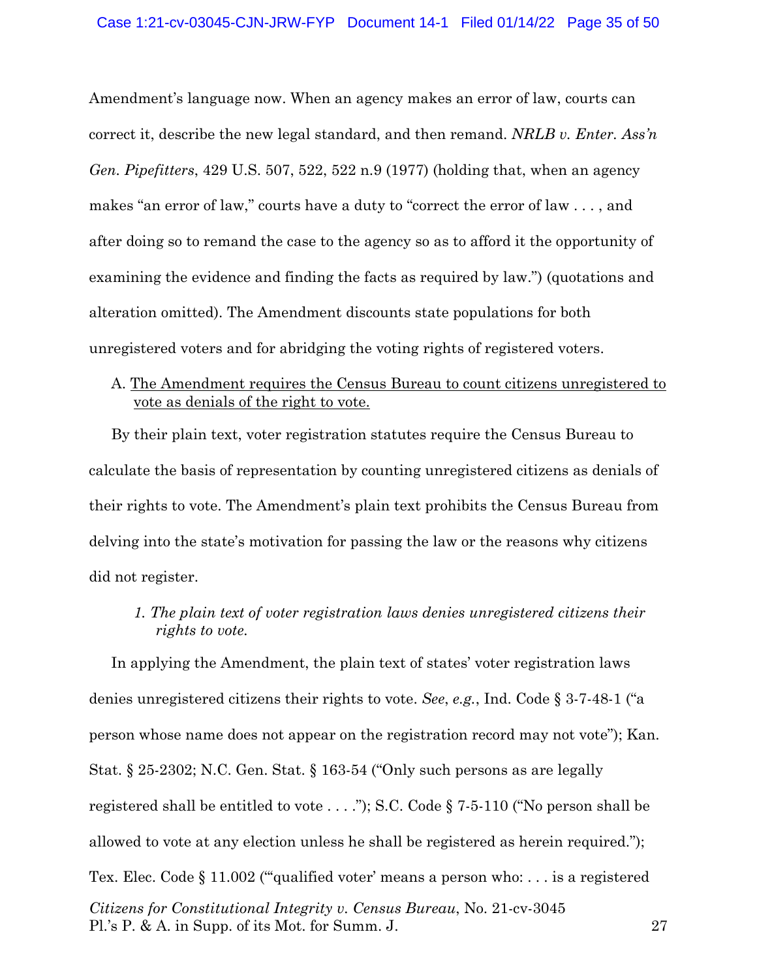Amendment's language now. When an agency makes an error of law, courts can correct it, describe the new legal standard, and then remand. *NRLB v. Enter. Ass'n Gen. Pipefitters*, 429 U.S. 507, 522, 522 n.9 (1977) (holding that, when an agency makes "an error of law," courts have a duty to "correct the error of law . . . , and after doing so to remand the case to the agency so as to afford it the opportunity of examining the evidence and finding the facts as required by law.") (quotations and alteration omitted). The Amendment discounts state populations for both unregistered voters and for abridging the voting rights of registered voters.

### A. The Amendment requires the Census Bureau to count citizens unregistered to vote as denials of the right to vote.

By their plain text, voter registration statutes require the Census Bureau to calculate the basis of representation by counting unregistered citizens as denials of their rights to vote. The Amendment's plain text prohibits the Census Bureau from delving into the state's motivation for passing the law or the reasons why citizens did not register.

*1. The plain text of voter registration laws denies unregistered citizens their rights to vote.* 

*Citizens for Constitutional Integrity v. Census Bureau*, No. 21-cv-3045 Pl.'s P. & A. in Supp. of its Mot. for Summ. J. 27 In applying the Amendment, the plain text of states' voter registration laws denies unregistered citizens their rights to vote. *See*, *e.g.*, Ind. Code § 3-7-48-1 ("a person whose name does not appear on the registration record may not vote"); Kan. Stat. § 25-2302; N.C. Gen. Stat. § 163-54 ("Only such persons as are legally registered shall be entitled to vote . . . ."); S.C. Code § 7-5-110 ("No person shall be allowed to vote at any election unless he shall be registered as herein required."); Tex. Elec. Code § 11.002 ("qualified voter' means a person who: . . . is a registered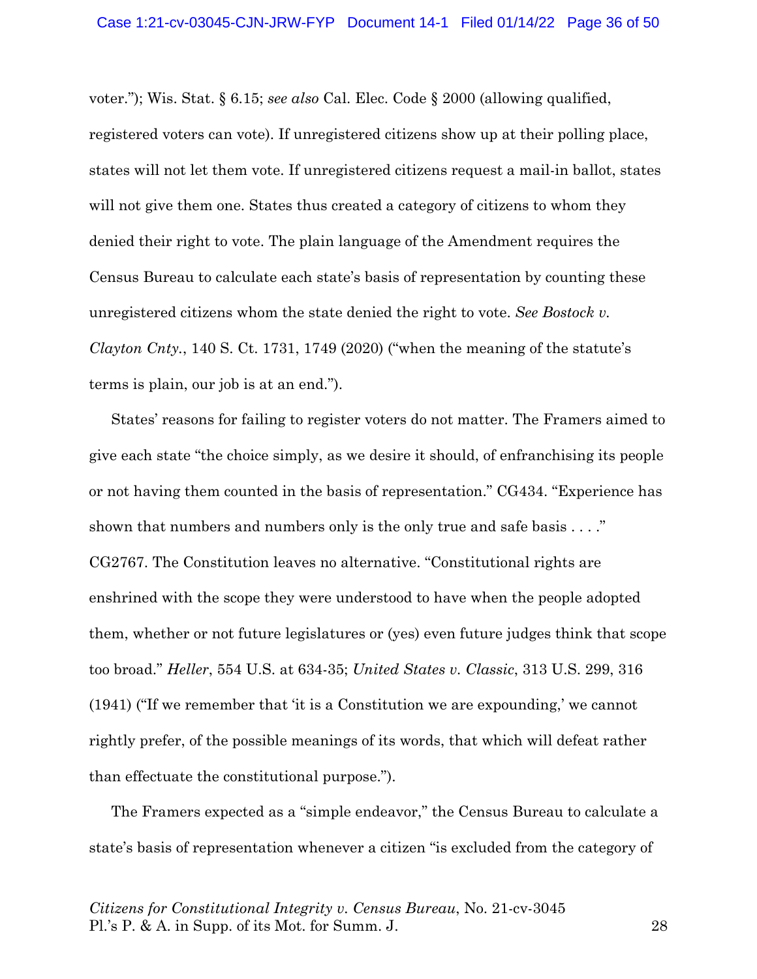voter."); Wis. Stat. § 6.15; *see also* Cal. Elec. Code § 2000 (allowing qualified, registered voters can vote). If unregistered citizens show up at their polling place, states will not let them vote. If unregistered citizens request a mail-in ballot, states will not give them one. States thus created a category of citizens to whom they denied their right to vote. The plain language of the Amendment requires the Census Bureau to calculate each state's basis of representation by counting these unregistered citizens whom the state denied the right to vote. *See Bostock v. Clayton Cnty.*, 140 S. Ct. 1731, 1749 (2020) ("when the meaning of the statute's terms is plain, our job is at an end.").

States' reasons for failing to register voters do not matter. The Framers aimed to give each state "the choice simply, as we desire it should, of enfranchising its people or not having them counted in the basis of representation." CG434. "Experience has shown that numbers and numbers only is the only true and safe basis . . . ." CG2767. The Constitution leaves no alternative. "Constitutional rights are enshrined with the scope they were understood to have when the people adopted them, whether or not future legislatures or (yes) even future judges think that scope too broad." *Heller*, 554 U.S. at 634-35; *United States v. Classic*, 313 U.S. 299, 316 (1941) ("If we remember that 'it is a Constitution we are expounding,' we cannot rightly prefer, of the possible meanings of its words, that which will defeat rather than effectuate the constitutional purpose.").

The Framers expected as a "simple endeavor," the Census Bureau to calculate a state's basis of representation whenever a citizen "is excluded from the category of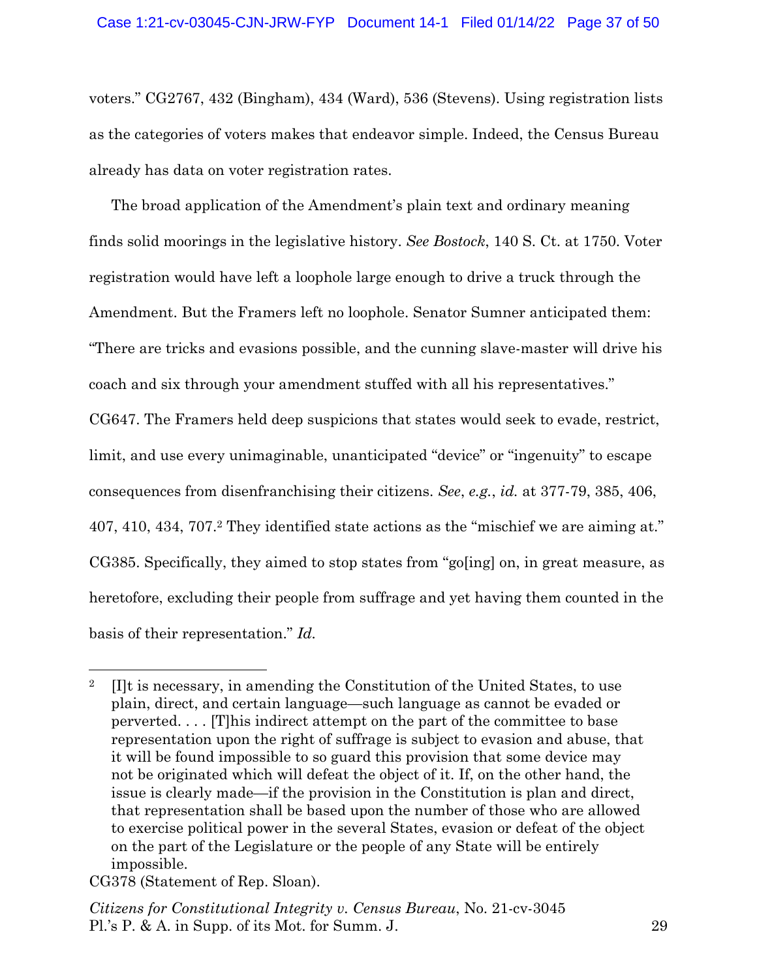voters." CG2767, 432 (Bingham), 434 (Ward), 536 (Stevens). Using registration lists as the categories of voters makes that endeavor simple. Indeed, the Census Bureau already has data on voter registration rates.

The broad application of the Amendment's plain text and ordinary meaning finds solid moorings in the legislative history. *See Bostock*, 140 S. Ct. at 1750. Voter registration would have left a loophole large enough to drive a truck through the Amendment. But the Framers left no loophole. Senator Sumner anticipated them: "There are tricks and evasions possible, and the cunning slave-master will drive his coach and six through your amendment stuffed with all his representatives." CG647. The Framers held deep suspicions that states would seek to evade, restrict, limit, and use every unimaginable, unanticipated "device" or "ingenuity" to escape consequences from disenfranchising their citizens. *See*, *e.g.*, *id.* at 377-79, 385, 406, 407, 410, 434, 707.2 They identified state actions as the "mischief we are aiming at." CG385. Specifically, they aimed to stop states from "go[ing] on, in great measure, as heretofore, excluding their people from suffrage and yet having them counted in the basis of their representation." *Id.*

<sup>&</sup>lt;sup>2</sup> [I]t is necessary, in amending the Constitution of the United States, to use plain, direct, and certain language—such language as cannot be evaded or perverted. . . . [T]his indirect attempt on the part of the committee to base representation upon the right of suffrage is subject to evasion and abuse, that it will be found impossible to so guard this provision that some device may not be originated which will defeat the object of it. If, on the other hand, the issue is clearly made—if the provision in the Constitution is plan and direct, that representation shall be based upon the number of those who are allowed to exercise political power in the several States, evasion or defeat of the object on the part of the Legislature or the people of any State will be entirely impossible.

CG378 (Statement of Rep. Sloan).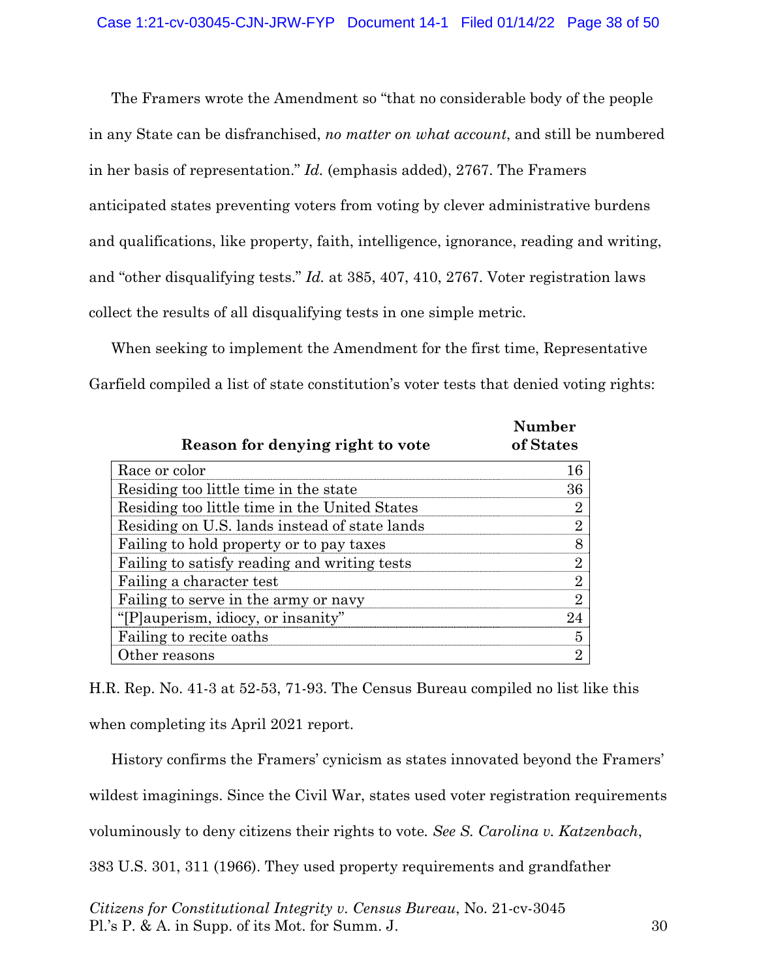The Framers wrote the Amendment so "that no considerable body of the people in any State can be disfranchised, *no matter on what account*, and still be numbered in her basis of representation." *Id.* (emphasis added), 2767. The Framers anticipated states preventing voters from voting by clever administrative burdens and qualifications, like property, faith, intelligence, ignorance, reading and writing, and "other disqualifying tests." *Id.* at 385, 407, 410, 2767. Voter registration laws collect the results of all disqualifying tests in one simple metric.

When seeking to implement the Amendment for the first time, Representative Garfield compiled a list of state constitution's voter tests that denied voting rights:

| Reason for denying right to vote              | <b>Number</b><br>of States |
|-----------------------------------------------|----------------------------|
| Race or color                                 | 16                         |
| Residing too little time in the state         | 36                         |
| Residing too little time in the United States | $\overline{2}$             |
| Residing on U.S. lands instead of state lands | $\overline{2}$             |
| Failing to hold property or to pay taxes      | 8                          |
| Failing to satisfy reading and writing tests  | $\overline{2}$             |
| Failing a character test                      | $\overline{2}$             |
| Failing to serve in the army or navy          | $\overline{2}$             |
| "[P]auperism, idiocy, or insanity"            | 24                         |
| Failing to recite oaths                       | 5                          |
| Other reasons                                 | 9                          |

H.R. Rep. No. 41-3 at 52-53, 71-93. The Census Bureau compiled no list like this when completing its April 2021 report.

History confirms the Framers' cynicism as states innovated beyond the Framers'

wildest imaginings. Since the Civil War, states used voter registration requirements

voluminously to deny citizens their rights to vote*. See S. Carolina v. Katzenbach*,

383 U.S. 301, 311 (1966). They used property requirements and grandfather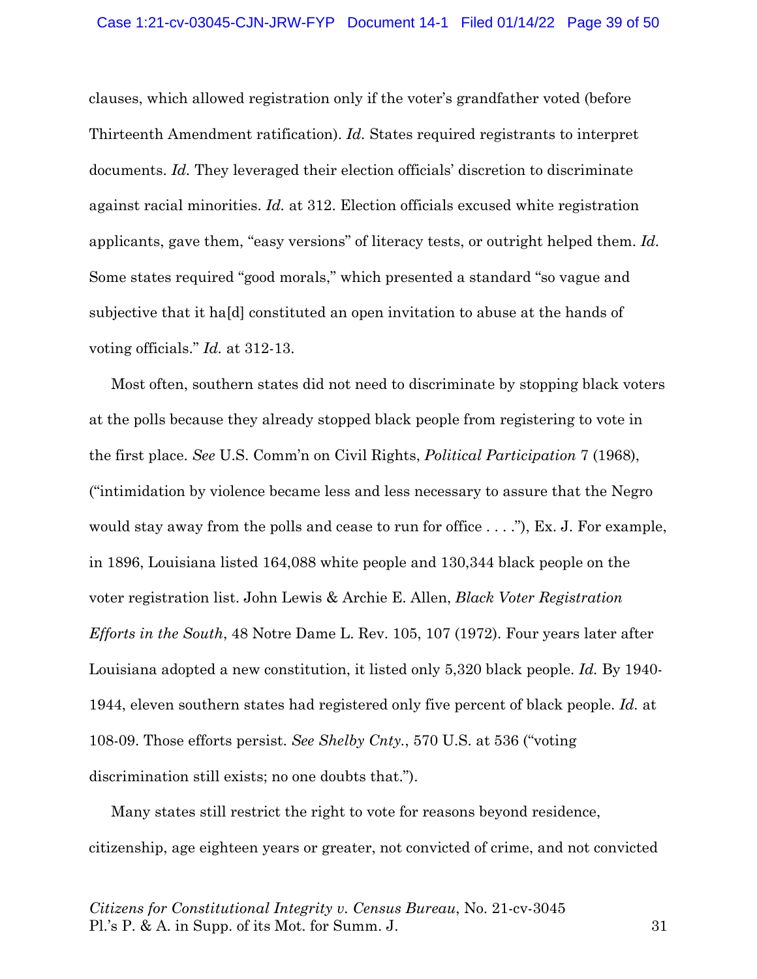clauses, which allowed registration only if the voter's grandfather voted (before Thirteenth Amendment ratification). *Id.* States required registrants to interpret documents. *Id.* They leveraged their election officials' discretion to discriminate against racial minorities. *Id.* at 312. Election officials excused white registration applicants, gave them, "easy versions" of literacy tests, or outright helped them. *Id.* Some states required "good morals," which presented a standard "so vague and subjective that it ha[d] constituted an open invitation to abuse at the hands of voting officials." *Id.* at 312-13.

Most often, southern states did not need to discriminate by stopping black voters at the polls because they already stopped black people from registering to vote in the first place. *See* U.S. Comm'n on Civil Rights, *Political Participation* 7 (1968), ("intimidation by violence became less and less necessary to assure that the Negro would stay away from the polls and cease to run for office . . . ."), Ex. J. For example, in 1896, Louisiana listed 164,088 white people and 130,344 black people on the voter registration list. John Lewis & Archie E. Allen, *Black Voter Registration Efforts in the South*, 48 Notre Dame L. Rev. 105, 107 (1972). Four years later after Louisiana adopted a new constitution, it listed only 5,320 black people. *Id.* By 1940- 1944, eleven southern states had registered only five percent of black people. *Id.* at 108-09. Those efforts persist. *See Shelby Cnty.*, 570 U.S. at 536 ("voting discrimination still exists; no one doubts that.").

Many states still restrict the right to vote for reasons beyond residence, citizenship, age eighteen years or greater, not convicted of crime, and not convicted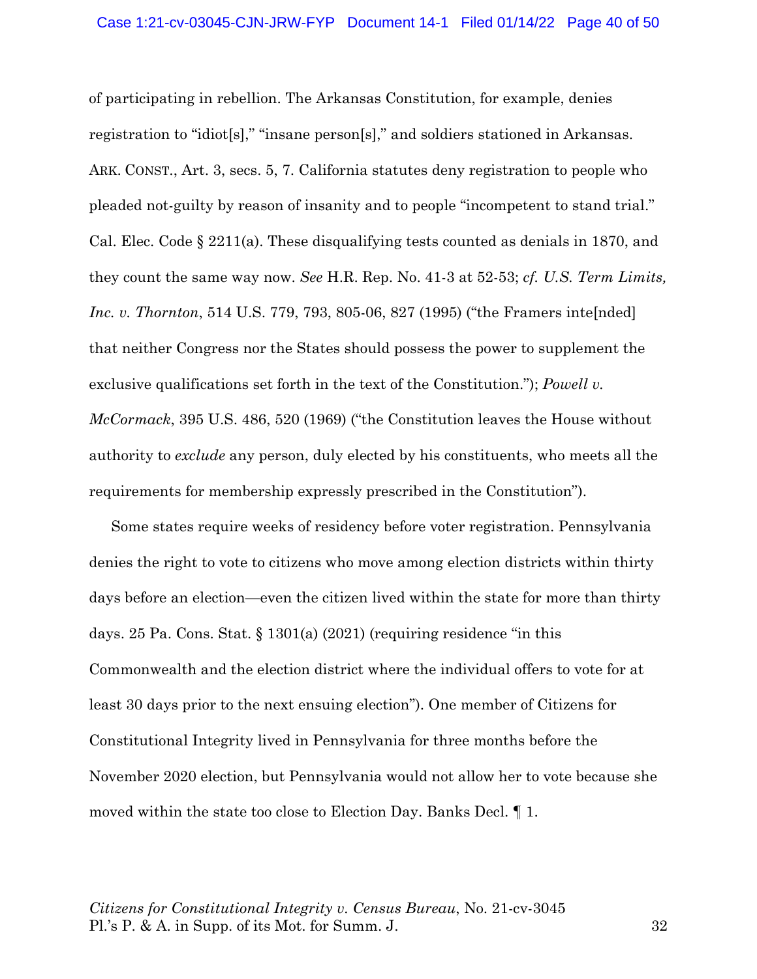of participating in rebellion. The Arkansas Constitution, for example, denies registration to "idiot[s]," "insane person[s]," and soldiers stationed in Arkansas. ARK. CONST., Art. 3, secs. 5, 7. California statutes deny registration to people who pleaded not-guilty by reason of insanity and to people "incompetent to stand trial." Cal. Elec. Code  $\S 2211(a)$ . These disqualifying tests counted as denials in 1870, and they count the same way now. *See* H.R. Rep. No. 41-3 at 52-53; *cf. U.S. Term Limits, Inc. v. Thornton*, 514 U.S. 779, 793, 805-06, 827 (1995) ("the Framers inte[nded] that neither Congress nor the States should possess the power to supplement the exclusive qualifications set forth in the text of the Constitution."); *Powell v. McCormack*, 395 U.S. 486, 520 (1969) ("the Constitution leaves the House without authority to *exclude* any person, duly elected by his constituents, who meets all the requirements for membership expressly prescribed in the Constitution").

Some states require weeks of residency before voter registration. Pennsylvania denies the right to vote to citizens who move among election districts within thirty days before an election—even the citizen lived within the state for more than thirty days. 25 Pa. Cons. Stat.  $\S$  1301(a) (2021) (requiring residence "in this Commonwealth and the election district where the individual offers to vote for at least 30 days prior to the next ensuing election"). One member of Citizens for Constitutional Integrity lived in Pennsylvania for three months before the November 2020 election, but Pennsylvania would not allow her to vote because she moved within the state too close to Election Day. Banks Decl. ¶ 1.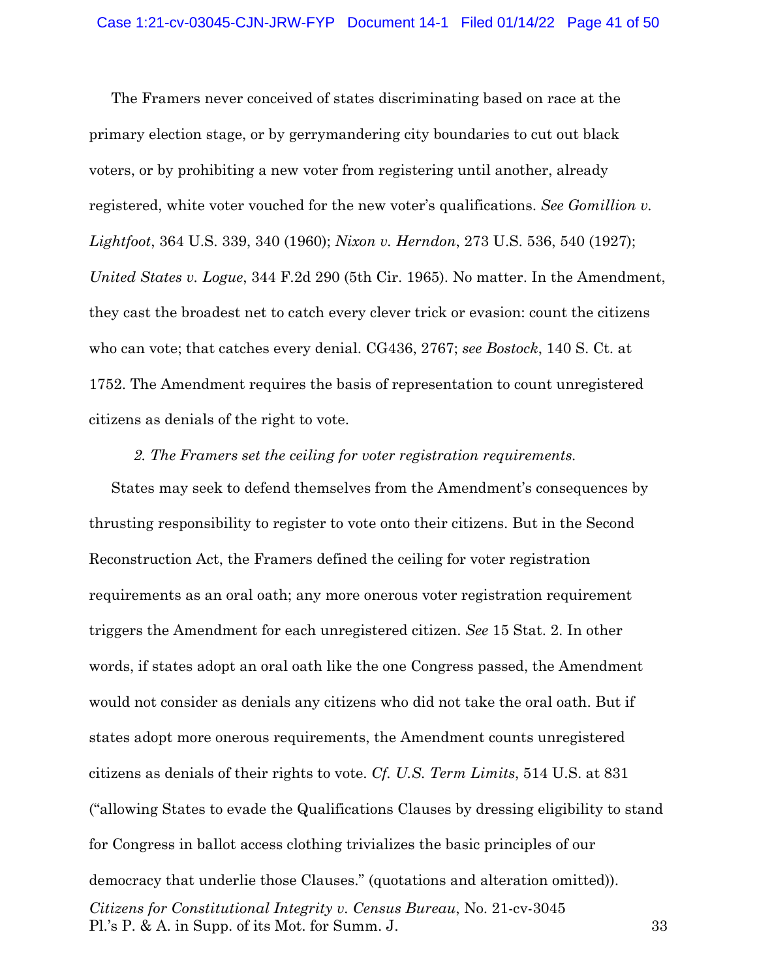The Framers never conceived of states discriminating based on race at the primary election stage, or by gerrymandering city boundaries to cut out black voters, or by prohibiting a new voter from registering until another, already registered, white voter vouched for the new voter's qualifications. *See Gomillion v. Lightfoot*, 364 U.S. 339, 340 (1960); *Nixon v. Herndon*, 273 U.S. 536, 540 (1927); *United States v. Logue*, 344 F.2d 290 (5th Cir. 1965). No matter. In the Amendment, they cast the broadest net to catch every clever trick or evasion: count the citizens who can vote; that catches every denial. CG436, 2767; *see Bostock*, 140 S. Ct. at 1752. The Amendment requires the basis of representation to count unregistered citizens as denials of the right to vote.

#### *2. The Framers set the ceiling for voter registration requirements.*

*Citizens for Constitutional Integrity v. Census Bureau*, No. 21-cv-3045 Pl.'s P. & A. in Supp. of its Mot. for Summ. J. 33 States may seek to defend themselves from the Amendment's consequences by thrusting responsibility to register to vote onto their citizens. But in the Second Reconstruction Act, the Framers defined the ceiling for voter registration requirements as an oral oath; any more onerous voter registration requirement triggers the Amendment for each unregistered citizen. *See* 15 Stat. 2. In other words, if states adopt an oral oath like the one Congress passed, the Amendment would not consider as denials any citizens who did not take the oral oath. But if states adopt more onerous requirements, the Amendment counts unregistered citizens as denials of their rights to vote. *Cf. U.S. Term Limits*, 514 U.S. at 831 ("allowing States to evade the Qualifications Clauses by dressing eligibility to stand for Congress in ballot access clothing trivializes the basic principles of our democracy that underlie those Clauses." (quotations and alteration omitted)).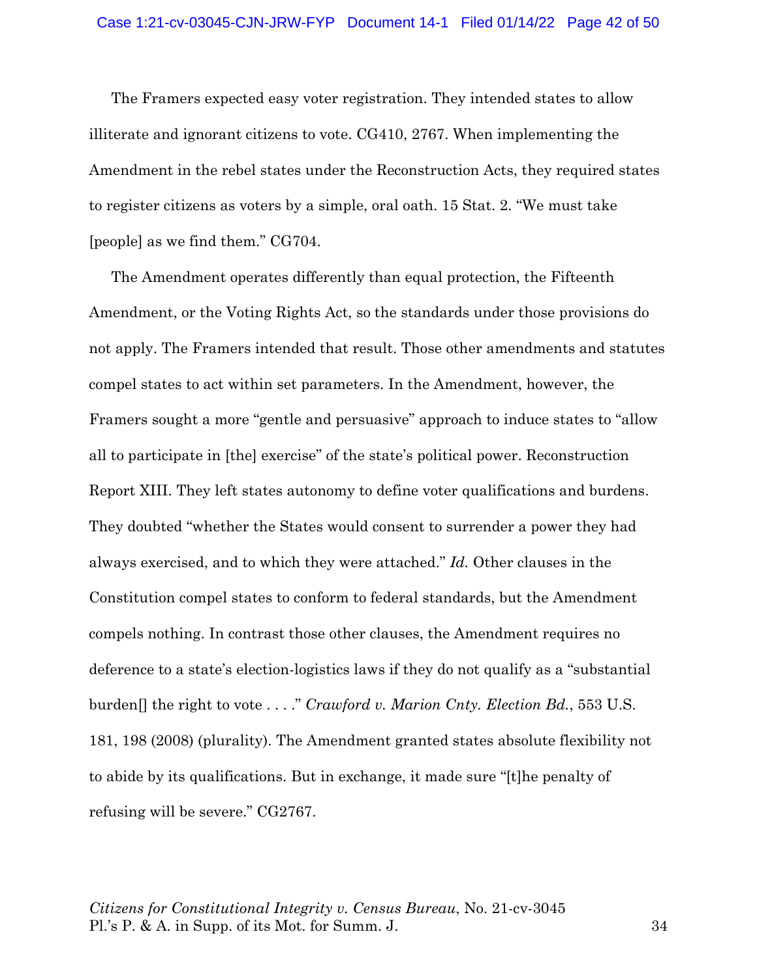The Framers expected easy voter registration. They intended states to allow illiterate and ignorant citizens to vote. CG410, 2767. When implementing the Amendment in the rebel states under the Reconstruction Acts, they required states to register citizens as voters by a simple, oral oath. 15 Stat. 2. "We must take [people] as we find them." CG704.

The Amendment operates differently than equal protection, the Fifteenth Amendment, or the Voting Rights Act, so the standards under those provisions do not apply. The Framers intended that result. Those other amendments and statutes compel states to act within set parameters. In the Amendment, however, the Framers sought a more "gentle and persuasive" approach to induce states to "allow all to participate in [the] exercise" of the state's political power. Reconstruction Report XIII. They left states autonomy to define voter qualifications and burdens. They doubted "whether the States would consent to surrender a power they had always exercised, and to which they were attached." *Id.* Other clauses in the Constitution compel states to conform to federal standards, but the Amendment compels nothing. In contrast those other clauses, the Amendment requires no deference to a state's election-logistics laws if they do not qualify as a "substantial burden[] the right to vote . . . ." *Crawford v. Marion Cnty. Election Bd.*, 553 U.S. 181, 198 (2008) (plurality). The Amendment granted states absolute flexibility not to abide by its qualifications. But in exchange, it made sure "[t]he penalty of refusing will be severe." CG2767.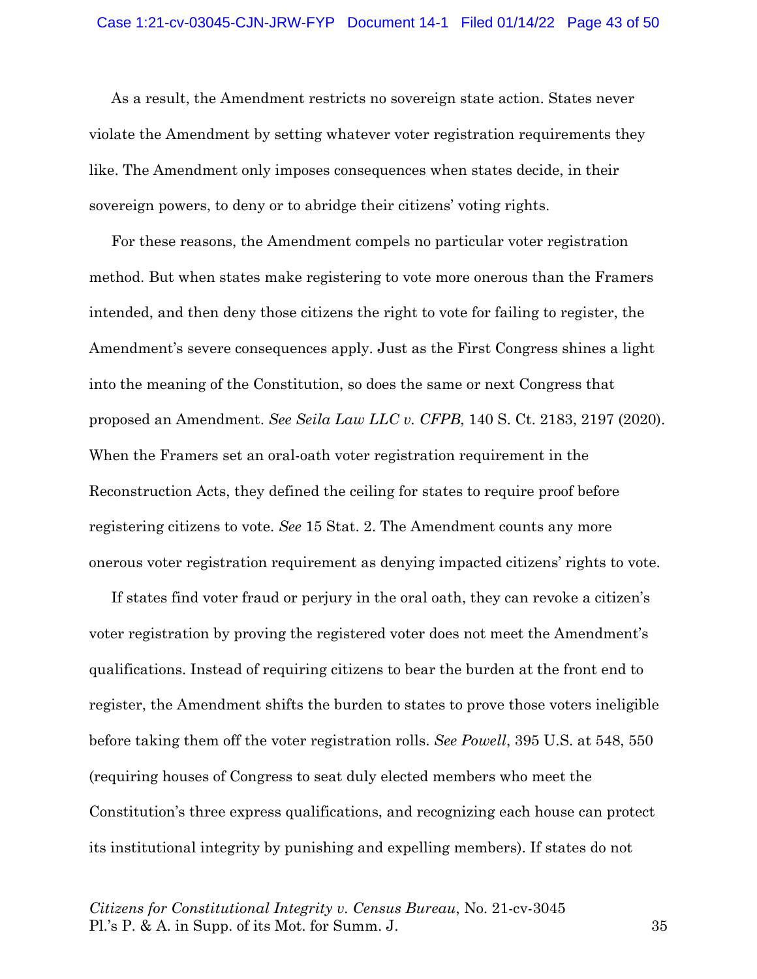As a result, the Amendment restricts no sovereign state action. States never violate the Amendment by setting whatever voter registration requirements they like. The Amendment only imposes consequences when states decide, in their sovereign powers, to deny or to abridge their citizens' voting rights.

For these reasons, the Amendment compels no particular voter registration method. But when states make registering to vote more onerous than the Framers intended, and then deny those citizens the right to vote for failing to register, the Amendment's severe consequences apply. Just as the First Congress shines a light into the meaning of the Constitution, so does the same or next Congress that proposed an Amendment. *See Seila Law LLC v. CFPB*, 140 S. Ct. 2183, 2197 (2020). When the Framers set an oral-oath voter registration requirement in the Reconstruction Acts, they defined the ceiling for states to require proof before registering citizens to vote. *See* 15 Stat. 2. The Amendment counts any more onerous voter registration requirement as denying impacted citizens' rights to vote.

If states find voter fraud or perjury in the oral oath, they can revoke a citizen's voter registration by proving the registered voter does not meet the Amendment's qualifications. Instead of requiring citizens to bear the burden at the front end to register, the Amendment shifts the burden to states to prove those voters ineligible before taking them off the voter registration rolls. *See Powell*, 395 U.S. at 548, 550 (requiring houses of Congress to seat duly elected members who meet the Constitution's three express qualifications, and recognizing each house can protect its institutional integrity by punishing and expelling members). If states do not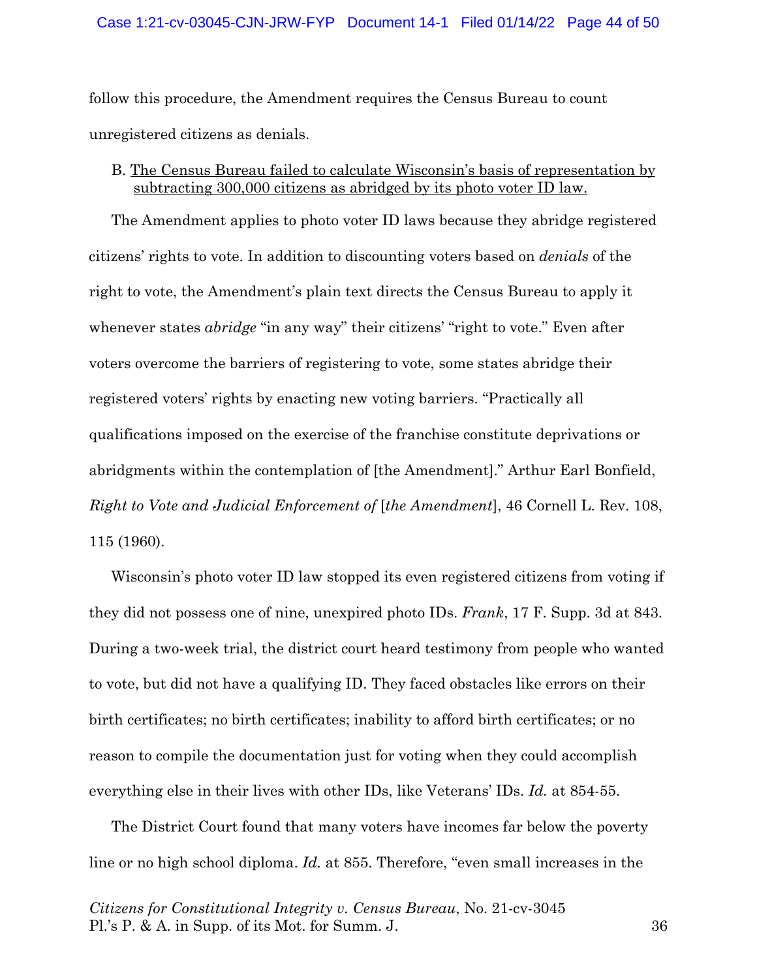#### Case 1:21-cv-03045-CJN-JRW-FYP Document 14-1 Filed 01/14/22 Page 44 of 50

follow this procedure, the Amendment requires the Census Bureau to count unregistered citizens as denials.

### B. The Census Bureau failed to calculate Wisconsin's basis of representation by subtracting 300,000 citizens as abridged by its photo voter ID law.

The Amendment applies to photo voter ID laws because they abridge registered citizens' rights to vote. In addition to discounting voters based on *denials* of the right to vote, the Amendment's plain text directs the Census Bureau to apply it whenever states *abridge* "in any way" their citizens' "right to vote." Even after voters overcome the barriers of registering to vote, some states abridge their registered voters' rights by enacting new voting barriers. "Practically all qualifications imposed on the exercise of the franchise constitute deprivations or abridgments within the contemplation of [the Amendment]." Arthur Earl Bonfield, *Right to Vote and Judicial Enforcement of* [*the Amendment*], 46 Cornell L. Rev. 108, 115 (1960).

Wisconsin's photo voter ID law stopped its even registered citizens from voting if they did not possess one of nine, unexpired photo IDs. *Frank*, 17 F. Supp. 3d at 843. During a two-week trial, the district court heard testimony from people who wanted to vote, but did not have a qualifying ID. They faced obstacles like errors on their birth certificates; no birth certificates; inability to afford birth certificates; or no reason to compile the documentation just for voting when they could accomplish everything else in their lives with other IDs, like Veterans' IDs. *Id.* at 854-55.

The District Court found that many voters have incomes far below the poverty line or no high school diploma. *Id.* at 855. Therefore, "even small increases in the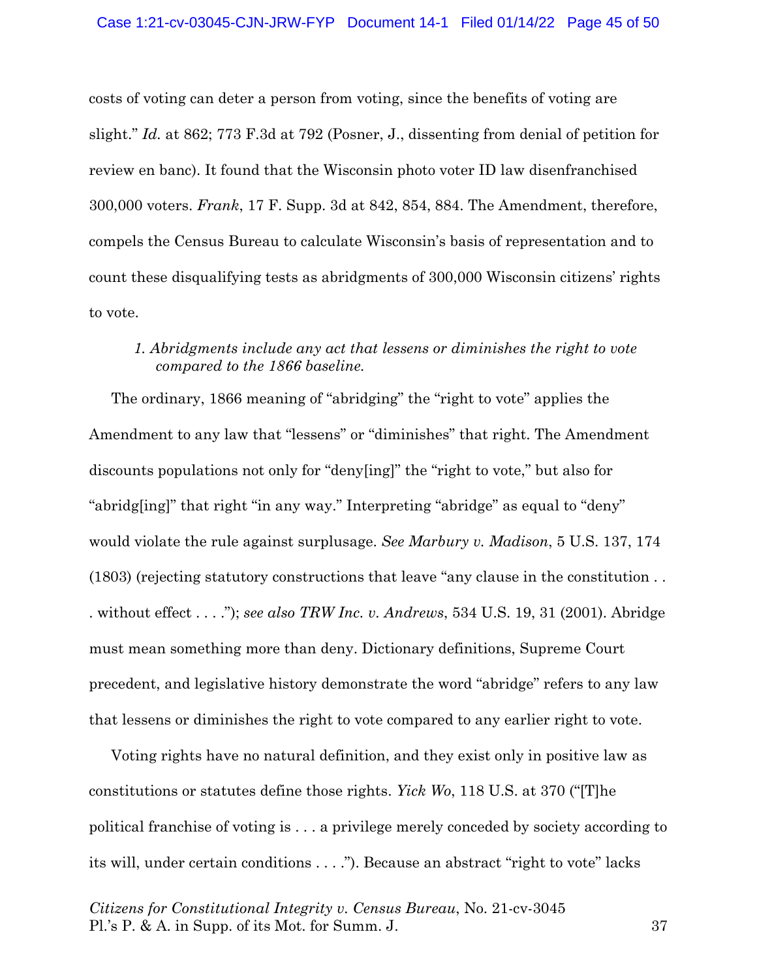costs of voting can deter a person from voting, since the benefits of voting are slight." *Id.* at 862; 773 F.3d at 792 (Posner, J., dissenting from denial of petition for review en banc). It found that the Wisconsin photo voter ID law disenfranchised 300,000 voters. *Frank*, 17 F. Supp. 3d at 842, 854, 884. The Amendment, therefore, compels the Census Bureau to calculate Wisconsin's basis of representation and to count these disqualifying tests as abridgments of 300,000 Wisconsin citizens' rights to vote.

## *1. Abridgments include any act that lessens or diminishes the right to vote compared to the 1866 baseline.*

The ordinary, 1866 meaning of "abridging" the "right to vote" applies the Amendment to any law that "lessens" or "diminishes" that right. The Amendment discounts populations not only for "deny[ing]" the "right to vote," but also for "abridg[ing]" that right "in any way." Interpreting "abridge" as equal to "deny" would violate the rule against surplusage. *See Marbury v. Madison*, 5 U.S. 137, 174 (1803) (rejecting statutory constructions that leave "any clause in the constitution . . . without effect . . . ."); *see also TRW Inc. v. Andrews*, 534 U.S. 19, 31 (2001). Abridge must mean something more than deny. Dictionary definitions, Supreme Court precedent, and legislative history demonstrate the word "abridge" refers to any law that lessens or diminishes the right to vote compared to any earlier right to vote.

Voting rights have no natural definition, and they exist only in positive law as constitutions or statutes define those rights. *Yick Wo*, 118 U.S. at 370 ("[T]he political franchise of voting is . . . a privilege merely conceded by society according to its will, under certain conditions . . . ."). Because an abstract "right to vote" lacks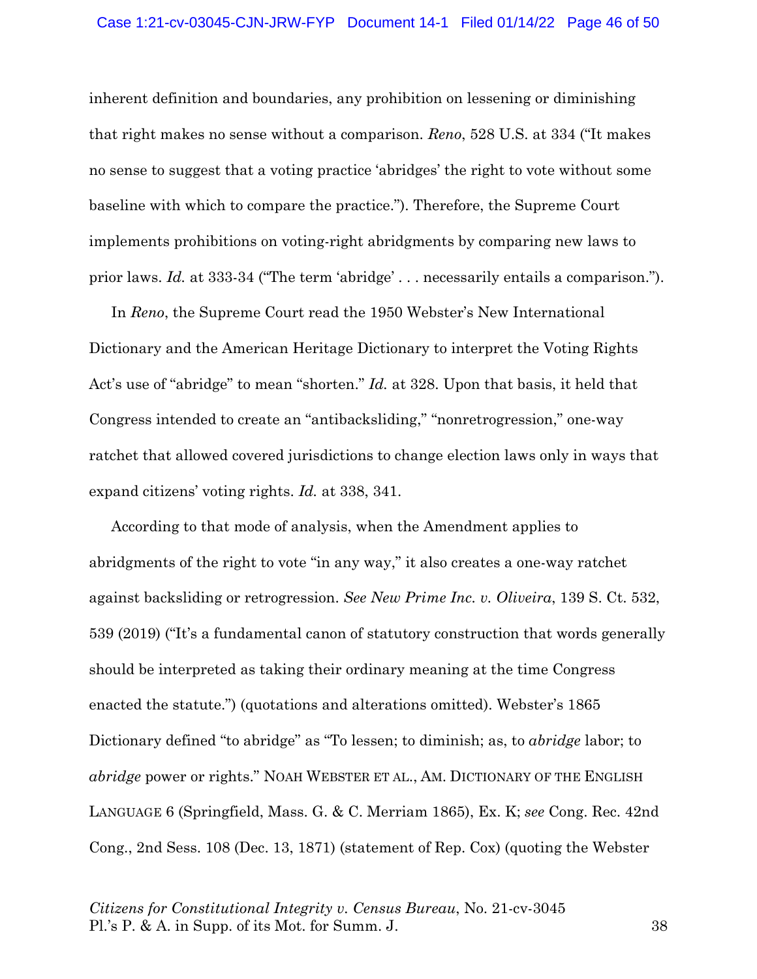inherent definition and boundaries, any prohibition on lessening or diminishing that right makes no sense without a comparison. *Reno*, 528 U.S. at 334 ("It makes no sense to suggest that a voting practice 'abridges' the right to vote without some baseline with which to compare the practice."). Therefore, the Supreme Court implements prohibitions on voting-right abridgments by comparing new laws to prior laws. *Id.* at 333-34 ("The term 'abridge' . . . necessarily entails a comparison.").

In *Reno*, the Supreme Court read the 1950 Webster's New International Dictionary and the American Heritage Dictionary to interpret the Voting Rights Act's use of "abridge" to mean "shorten." *Id.* at 328. Upon that basis, it held that Congress intended to create an "antibacksliding," "nonretrogression," one-way ratchet that allowed covered jurisdictions to change election laws only in ways that expand citizens' voting rights. *Id.* at 338, 341.

According to that mode of analysis, when the Amendment applies to abridgments of the right to vote "in any way," it also creates a one-way ratchet against backsliding or retrogression. *See New Prime Inc. v. Oliveira*, 139 S. Ct. 532, 539 (2019) ("It's a fundamental canon of statutory construction that words generally should be interpreted as taking their ordinary meaning at the time Congress enacted the statute.") (quotations and alterations omitted). Webster's 1865 Dictionary defined "to abridge" as "To lessen; to diminish; as, to *abridge* labor; to *abridge* power or rights." NOAH WEBSTER ET AL., AM. DICTIONARY OF THE ENGLISH LANGUAGE 6 (Springfield, Mass. G. & C. Merriam 1865), Ex. K; *see* Cong. Rec. 42nd Cong., 2nd Sess. 108 (Dec. 13, 1871) (statement of Rep. Cox) (quoting the Webster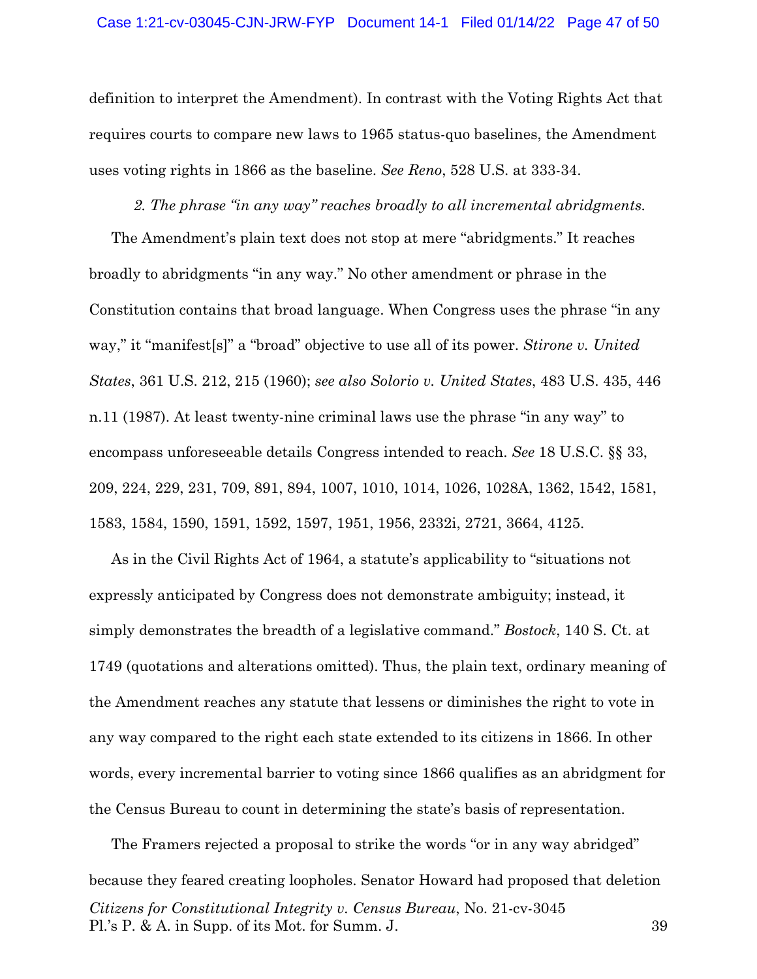definition to interpret the Amendment). In contrast with the Voting Rights Act that requires courts to compare new laws to 1965 status-quo baselines, the Amendment uses voting rights in 1866 as the baseline. *See Reno*, 528 U.S. at 333-34.

*2. The phrase "in any way" reaches broadly to all incremental abridgments.*  The Amendment's plain text does not stop at mere "abridgments." It reaches broadly to abridgments "in any way." No other amendment or phrase in the Constitution contains that broad language. When Congress uses the phrase "in any way," it "manifest[s]" a "broad" objective to use all of its power. *Stirone v. United States*, 361 U.S. 212, 215 (1960); *see also Solorio v. United States*, 483 U.S. 435, 446 n.11 (1987). At least twenty-nine criminal laws use the phrase "in any way" to encompass unforeseeable details Congress intended to reach. *See* 18 U.S.C. §§ 33, 209, 224, 229, 231, 709, 891, 894, 1007, 1010, 1014, 1026, 1028A, 1362, 1542, 1581, 1583, 1584, 1590, 1591, 1592, 1597, 1951, 1956, 2332i, 2721, 3664, 4125.

As in the Civil Rights Act of 1964, a statute's applicability to "situations not expressly anticipated by Congress does not demonstrate ambiguity; instead, it simply demonstrates the breadth of a legislative command." *Bostock*, 140 S. Ct. at 1749 (quotations and alterations omitted). Thus, the plain text, ordinary meaning of the Amendment reaches any statute that lessens or diminishes the right to vote in any way compared to the right each state extended to its citizens in 1866. In other words, every incremental barrier to voting since 1866 qualifies as an abridgment for the Census Bureau to count in determining the state's basis of representation.

*Citizens for Constitutional Integrity v. Census Bureau*, No. 21-cv-3045 Pl.'s P. & A. in Supp. of its Mot. for Summ. J. 39 The Framers rejected a proposal to strike the words "or in any way abridged" because they feared creating loopholes. Senator Howard had proposed that deletion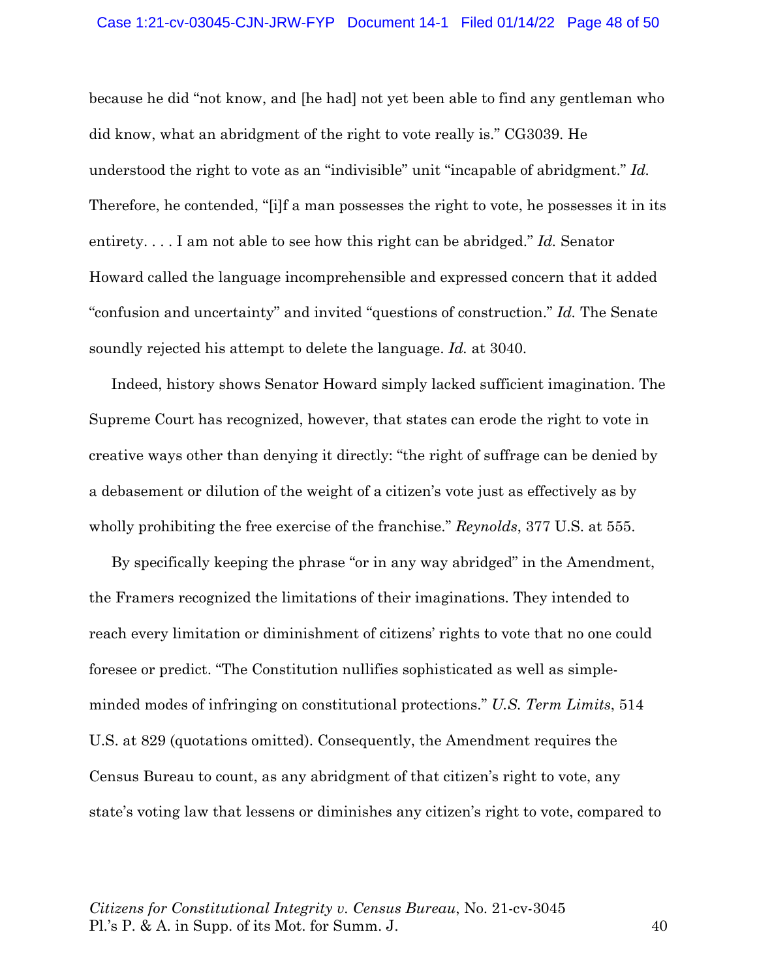because he did "not know, and [he had] not yet been able to find any gentleman who did know, what an abridgment of the right to vote really is." CG3039. He understood the right to vote as an "indivisible" unit "incapable of abridgment." *Id.*  Therefore, he contended, "[i]f a man possesses the right to vote, he possesses it in its entirety. . . . I am not able to see how this right can be abridged." *Id.* Senator Howard called the language incomprehensible and expressed concern that it added "confusion and uncertainty" and invited "questions of construction." *Id.* The Senate soundly rejected his attempt to delete the language. *Id.* at 3040.

Indeed, history shows Senator Howard simply lacked sufficient imagination. The Supreme Court has recognized, however, that states can erode the right to vote in creative ways other than denying it directly: "the right of suffrage can be denied by a debasement or dilution of the weight of a citizen's vote just as effectively as by wholly prohibiting the free exercise of the franchise." *Reynolds*, 377 U.S. at 555.

By specifically keeping the phrase "or in any way abridged" in the Amendment, the Framers recognized the limitations of their imaginations. They intended to reach every limitation or diminishment of citizens' rights to vote that no one could foresee or predict. "The Constitution nullifies sophisticated as well as simpleminded modes of infringing on constitutional protections." *U.S. Term Limits*, 514 U.S. at 829 (quotations omitted). Consequently, the Amendment requires the Census Bureau to count, as any abridgment of that citizen's right to vote, any state's voting law that lessens or diminishes any citizen's right to vote, compared to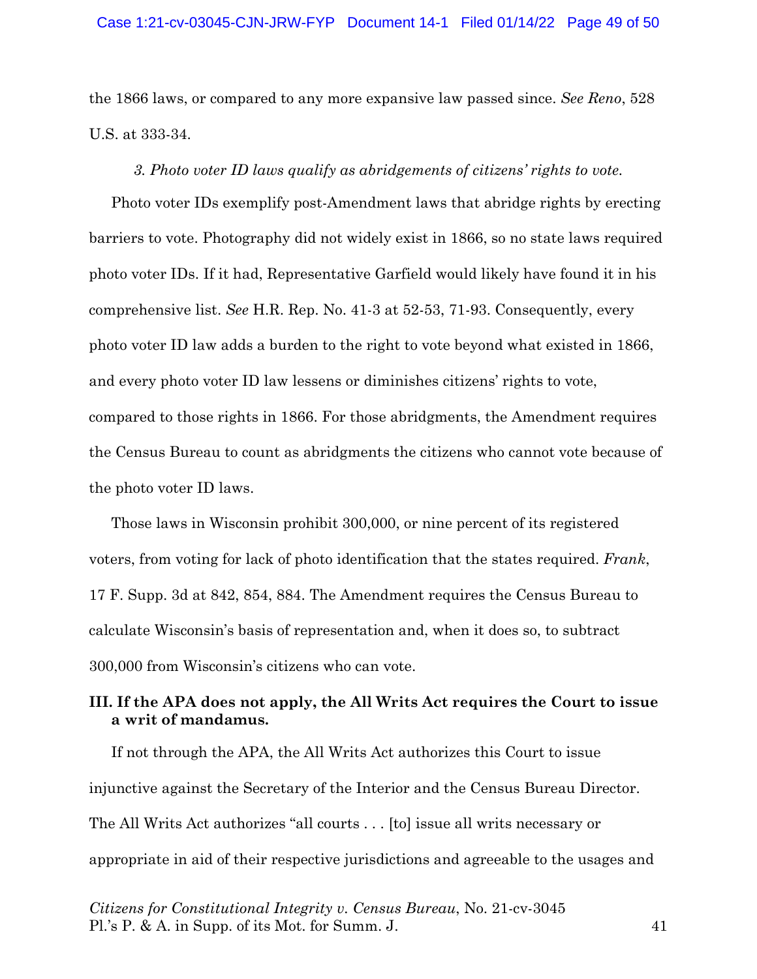the 1866 laws, or compared to any more expansive law passed since. *See Reno*, 528 U.S. at 333-34.

### *3. Photo voter ID laws qualify as abridgements of citizens' rights to vote.*

Photo voter IDs exemplify post-Amendment laws that abridge rights by erecting barriers to vote. Photography did not widely exist in 1866, so no state laws required photo voter IDs. If it had, Representative Garfield would likely have found it in his comprehensive list. *See* H.R. Rep. No. 41-3 at 52-53, 71-93. Consequently, every photo voter ID law adds a burden to the right to vote beyond what existed in 1866, and every photo voter ID law lessens or diminishes citizens' rights to vote, compared to those rights in 1866. For those abridgments, the Amendment requires the Census Bureau to count as abridgments the citizens who cannot vote because of the photo voter ID laws.

Those laws in Wisconsin prohibit 300,000, or nine percent of its registered voters, from voting for lack of photo identification that the states required. *Frank*, 17 F. Supp. 3d at 842, 854, 884. The Amendment requires the Census Bureau to calculate Wisconsin's basis of representation and, when it does so, to subtract 300,000 from Wisconsin's citizens who can vote.

# **III. If the APA does not apply, the All Writs Act requires the Court to issue a writ of mandamus.**

If not through the APA, the All Writs Act authorizes this Court to issue injunctive against the Secretary of the Interior and the Census Bureau Director. The All Writs Act authorizes "all courts . . . [to] issue all writs necessary or appropriate in aid of their respective jurisdictions and agreeable to the usages and